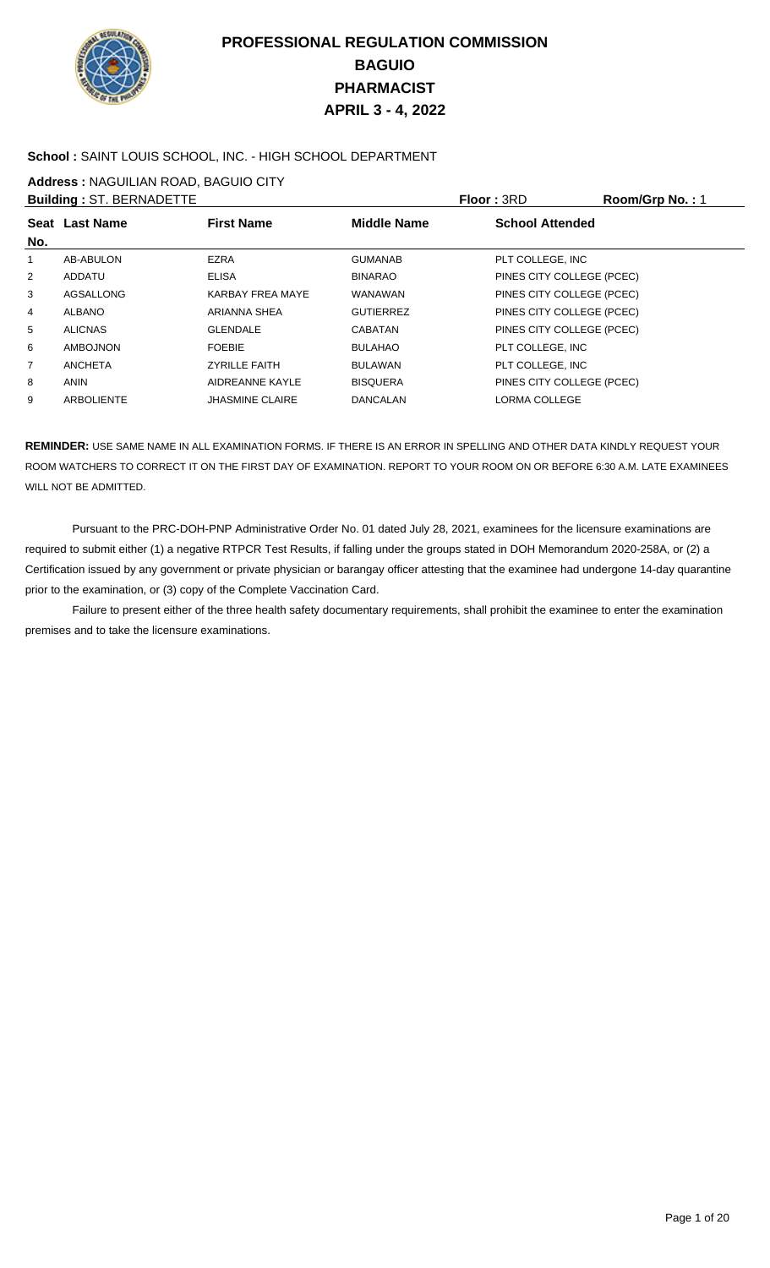

### **School :** SAINT LOUIS SCHOOL, INC. - HIGH SCHOOL DEPARTMENT

**Address :** NAGUILIAN ROAD, BAGUIO CITY

|                | <b>Building: ST. BERNADETTE</b> |                         |                    | <b>Floor: 3RD</b>         | Room/Grp No.: 1 |
|----------------|---------------------------------|-------------------------|--------------------|---------------------------|-----------------|
| No.            | Seat Last Name                  | <b>First Name</b>       | <b>Middle Name</b> | <b>School Attended</b>    |                 |
| 1              | AB-ABULON                       | <b>EZRA</b>             | <b>GUMANAB</b>     | PLT COLLEGE, INC          |                 |
| 2              | ADDATU                          | <b>ELISA</b>            | <b>BINARAO</b>     | PINES CITY COLLEGE (PCEC) |                 |
| 3              | AGSALLONG                       | <b>KARBAY FREA MAYE</b> | WANAWAN            | PINES CITY COLLEGE (PCEC) |                 |
| 4              | <b>ALBANO</b>                   | ARIANNA SHEA            | <b>GUTIERREZ</b>   | PINES CITY COLLEGE (PCEC) |                 |
| 5              | <b>ALICNAS</b>                  | <b>GLENDALE</b>         | <b>CABATAN</b>     | PINES CITY COLLEGE (PCEC) |                 |
| 6              | AMBOJNON                        | <b>FOEBIE</b>           | <b>BULAHAO</b>     | PLT COLLEGE, INC          |                 |
| $\overline{7}$ | <b>ANCHETA</b>                  | <b>ZYRILLE FAITH</b>    | <b>BULAWAN</b>     | PLT COLLEGE. INC          |                 |
| 8              | <b>ANIN</b>                     | AIDREANNE KAYLE         | <b>BISQUERA</b>    | PINES CITY COLLEGE (PCEC) |                 |
| 9              | <b>ARBOLIENTE</b>               | <b>JHASMINE CLAIRE</b>  | DANCALAN           | <b>LORMA COLLEGE</b>      |                 |
|                |                                 |                         |                    |                           |                 |

**REMINDER:** USE SAME NAME IN ALL EXAMINATION FORMS. IF THERE IS AN ERROR IN SPELLING AND OTHER DATA KINDLY REQUEST YOUR ROOM WATCHERS TO CORRECT IT ON THE FIRST DAY OF EXAMINATION. REPORT TO YOUR ROOM ON OR BEFORE 6:30 A.M. LATE EXAMINEES WILL NOT BE ADMITTED.

 Pursuant to the PRC-DOH-PNP Administrative Order No. 01 dated July 28, 2021, examinees for the licensure examinations are required to submit either (1) a negative RTPCR Test Results, if falling under the groups stated in DOH Memorandum 2020-258A, or (2) a Certification issued by any government or private physician or barangay officer attesting that the examinee had undergone 14-day quarantine prior to the examination, or (3) copy of the Complete Vaccination Card.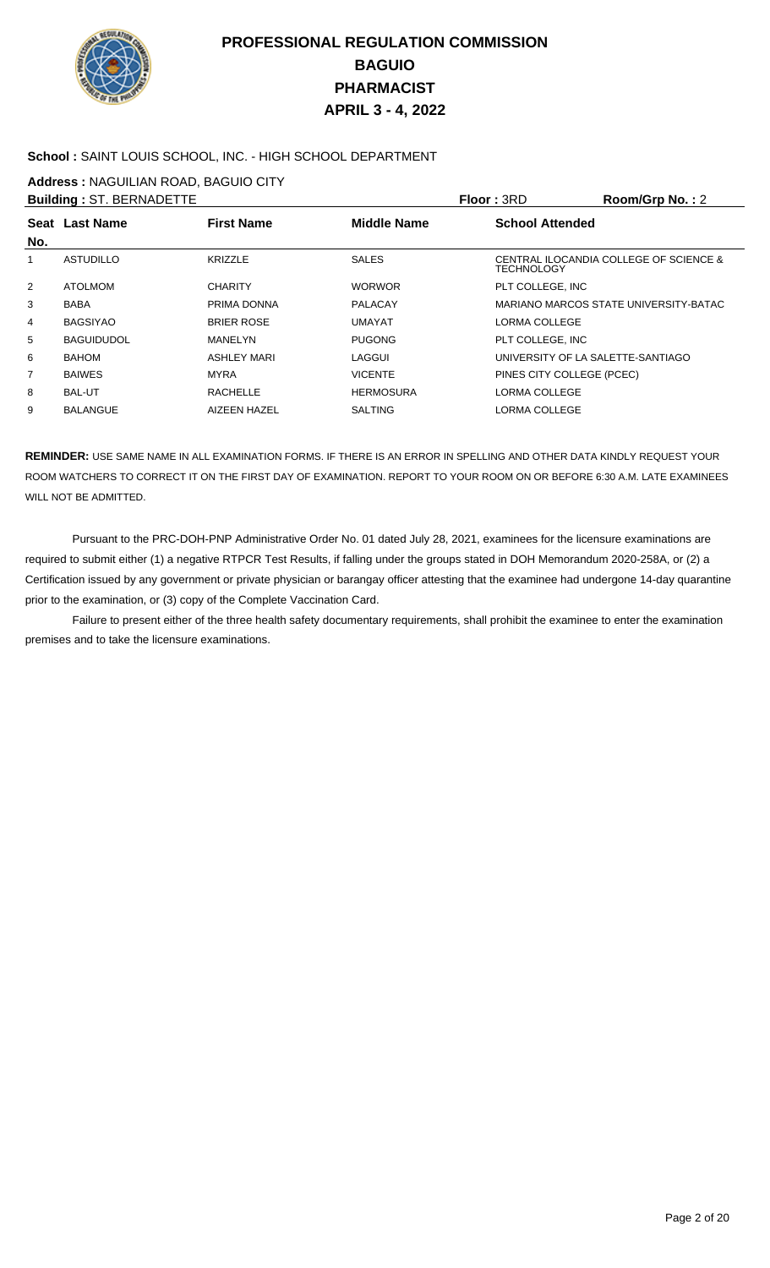

#### **School :** SAINT LOUIS SCHOOL, INC. - HIGH SCHOOL DEPARTMENT

**Address :** NAGUILIAN ROAD, BAGUIO CITY

| <b>Building: ST. BERNADETTE</b> |                   |                    |                    | <b>Floor: 3RD</b>                 | Room/Grp No.: 2                        |
|---------------------------------|-------------------|--------------------|--------------------|-----------------------------------|----------------------------------------|
| No.                             | Seat Last Name    | <b>First Name</b>  | <b>Middle Name</b> | <b>School Attended</b>            |                                        |
| 1                               | <b>ASTUDILLO</b>  | <b>KRIZZLE</b>     | <b>SALES</b>       | <b>TECHNOLOGY</b>                 | CENTRAL ILOCANDIA COLLEGE OF SCIENCE & |
| 2                               | ATOLMOM           | <b>CHARITY</b>     | <b>WORWOR</b>      | PLT COLLEGE. INC                  |                                        |
| 3                               | <b>BABA</b>       | PRIMA DONNA        | <b>PALACAY</b>     |                                   | MARIANO MARCOS STATE UNIVERSITY-BATAC  |
| 4                               | <b>BAGSIYAO</b>   | <b>BRIER ROSE</b>  | <b>UMAYAT</b>      | LORMA COLLEGE                     |                                        |
| 5                               | <b>BAGUIDUDOL</b> | MANELYN            | <b>PUGONG</b>      | PLT COLLEGE, INC                  |                                        |
| 6                               | <b>BAHOM</b>      | <b>ASHLEY MARI</b> | LAGGUI             | UNIVERSITY OF LA SALETTE-SANTIAGO |                                        |
| 7                               | <b>BAIWES</b>     | <b>MYRA</b>        | <b>VICENTE</b>     | PINES CITY COLLEGE (PCEC)         |                                        |
| 8                               | <b>BAL-UT</b>     | <b>RACHELLE</b>    | <b>HERMOSURA</b>   | LORMA COLLEGE                     |                                        |
| 9                               | <b>BALANGUE</b>   | AIZEEN HAZEL       | <b>SALTING</b>     | LORMA COLLEGE                     |                                        |

**REMINDER:** USE SAME NAME IN ALL EXAMINATION FORMS. IF THERE IS AN ERROR IN SPELLING AND OTHER DATA KINDLY REQUEST YOUR ROOM WATCHERS TO CORRECT IT ON THE FIRST DAY OF EXAMINATION. REPORT TO YOUR ROOM ON OR BEFORE 6:30 A.M. LATE EXAMINEES WILL NOT BE ADMITTED.

 Pursuant to the PRC-DOH-PNP Administrative Order No. 01 dated July 28, 2021, examinees for the licensure examinations are required to submit either (1) a negative RTPCR Test Results, if falling under the groups stated in DOH Memorandum 2020-258A, or (2) a Certification issued by any government or private physician or barangay officer attesting that the examinee had undergone 14-day quarantine prior to the examination, or (3) copy of the Complete Vaccination Card.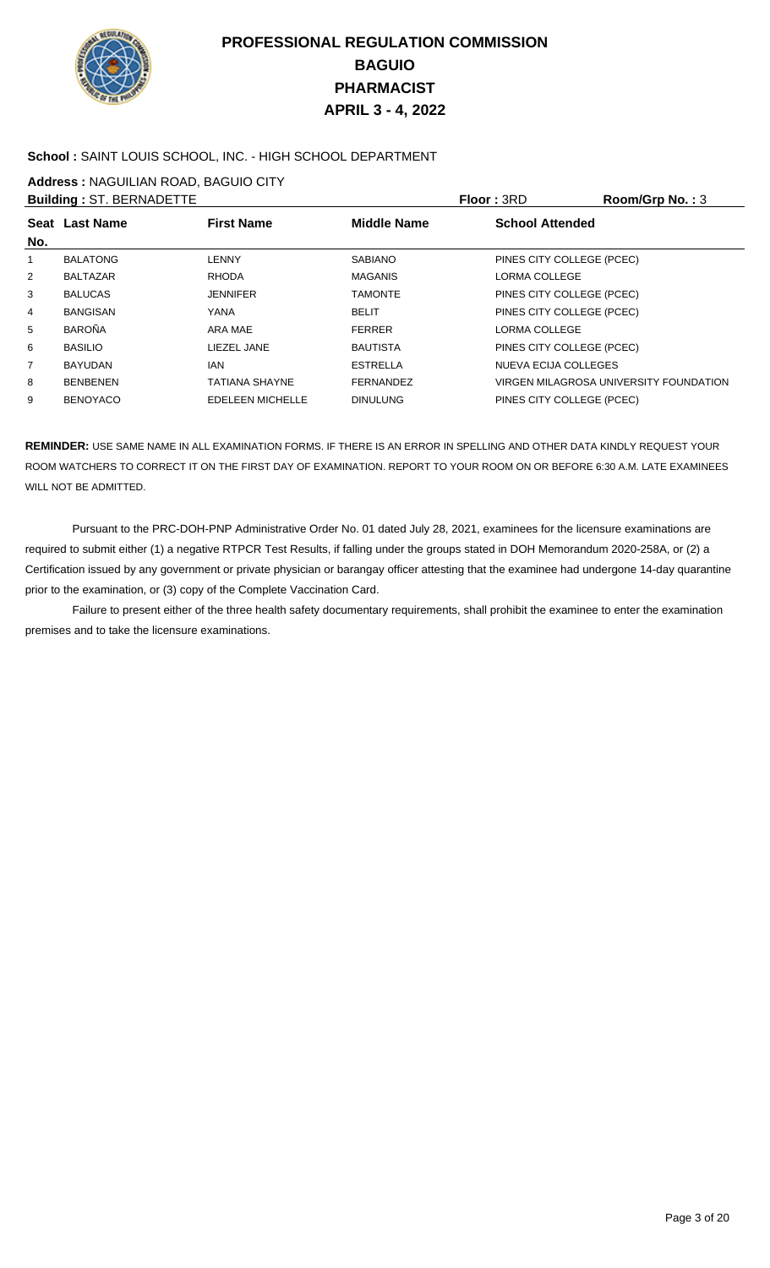

### **School :** SAINT LOUIS SCHOOL, INC. - HIGH SCHOOL DEPARTMENT

**Address :** NAGUILIAN ROAD, BAGUIO CITY

|                | <b>Building: ST. BERNADETTE</b> |                         |                    | Floor: 3RD                | Room/Grp No.: 3                        |
|----------------|---------------------------------|-------------------------|--------------------|---------------------------|----------------------------------------|
| No.            | Seat Last Name                  | <b>First Name</b>       | <b>Middle Name</b> | <b>School Attended</b>    |                                        |
| 1              | <b>BALATONG</b>                 | <b>LENNY</b>            | <b>SABIANO</b>     | PINES CITY COLLEGE (PCEC) |                                        |
| $\overline{2}$ | <b>BALTAZAR</b>                 | <b>RHODA</b>            | <b>MAGANIS</b>     | LORMA COLLEGE             |                                        |
| 3              | <b>BALUCAS</b>                  | <b>JENNIFER</b>         | <b>TAMONTE</b>     | PINES CITY COLLEGE (PCEC) |                                        |
| 4              | <b>BANGISAN</b>                 | YANA                    | <b>BELIT</b>       | PINES CITY COLLEGE (PCEC) |                                        |
| 5              | <b>BAROÑA</b>                   | ARA MAE                 | <b>FERRER</b>      | LORMA COLLEGE             |                                        |
| 6              | <b>BASILIO</b>                  | LIEZEL JANE             | <b>BAUTISTA</b>    | PINES CITY COLLEGE (PCEC) |                                        |
| $\overline{7}$ | <b>BAYUDAN</b>                  | IAN                     | <b>ESTRELLA</b>    | NUEVA ECIJA COLLEGES      |                                        |
| 8              | <b>BENBENEN</b>                 | TATIANA SHAYNE          | FERNANDEZ          |                           | VIRGEN MILAGROSA UNIVERSITY FOUNDATION |
| 9              | <b>BENOYACO</b>                 | <b>EDELEEN MICHELLE</b> | <b>DINULUNG</b>    | PINES CITY COLLEGE (PCEC) |                                        |
|                |                                 |                         |                    |                           |                                        |

**REMINDER:** USE SAME NAME IN ALL EXAMINATION FORMS. IF THERE IS AN ERROR IN SPELLING AND OTHER DATA KINDLY REQUEST YOUR ROOM WATCHERS TO CORRECT IT ON THE FIRST DAY OF EXAMINATION. REPORT TO YOUR ROOM ON OR BEFORE 6:30 A.M. LATE EXAMINEES WILL NOT BE ADMITTED.

 Pursuant to the PRC-DOH-PNP Administrative Order No. 01 dated July 28, 2021, examinees for the licensure examinations are required to submit either (1) a negative RTPCR Test Results, if falling under the groups stated in DOH Memorandum 2020-258A, or (2) a Certification issued by any government or private physician or barangay officer attesting that the examinee had undergone 14-day quarantine prior to the examination, or (3) copy of the Complete Vaccination Card.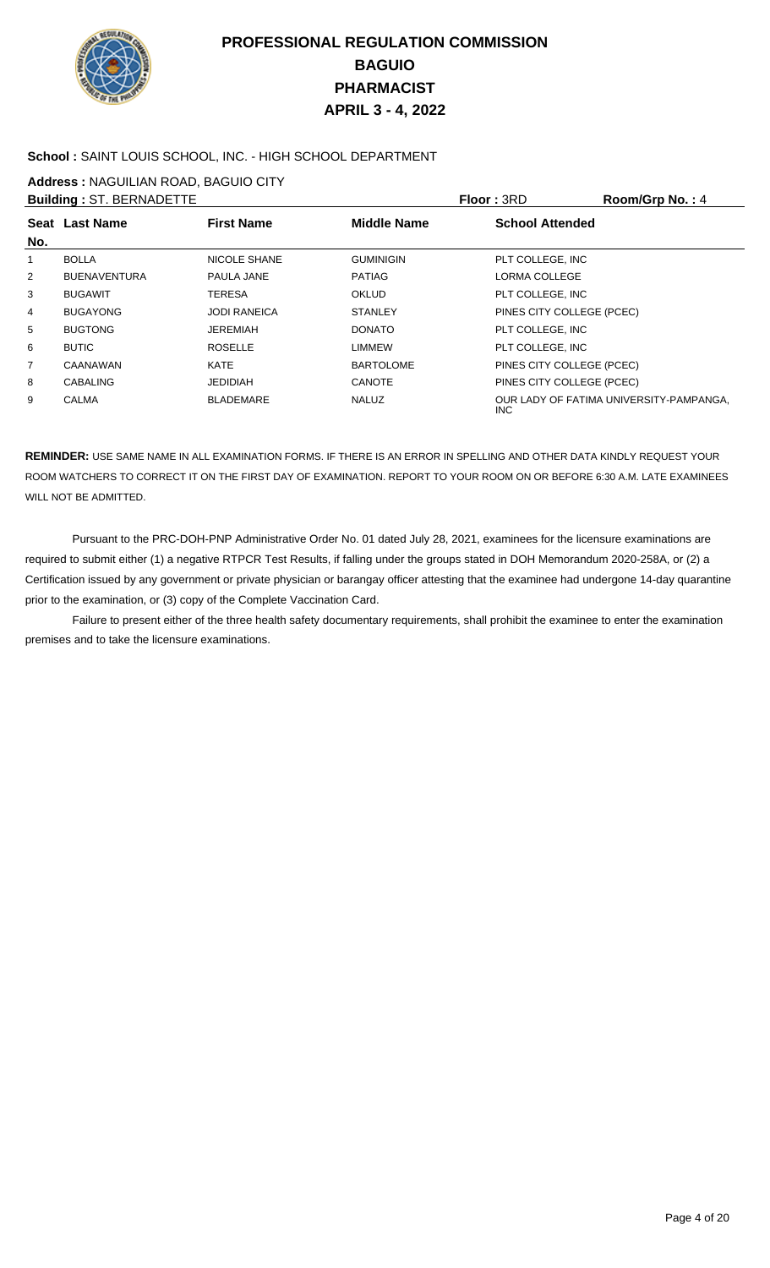

### **School :** SAINT LOUIS SCHOOL, INC. - HIGH SCHOOL DEPARTMENT

**Address :** NAGUILIAN ROAD, BAGUIO CITY

|                | <b>Building: ST. BERNADETTE</b> |                     |                    | <b>Floor: 3RD</b>         | Room/Grp No.: 4                         |
|----------------|---------------------------------|---------------------|--------------------|---------------------------|-----------------------------------------|
|                | Seat Last Name                  | <b>First Name</b>   | <b>Middle Name</b> | <b>School Attended</b>    |                                         |
| No.            |                                 |                     |                    |                           |                                         |
| 1              | <b>BOLLA</b>                    | NICOLE SHANE        | <b>GUMINIGIN</b>   | PLT COLLEGE, INC          |                                         |
| $\overline{2}$ | <b>BUENAVENTURA</b>             | PAULA JANE          | <b>PATIAG</b>      | <b>LORMA COLLEGE</b>      |                                         |
| 3              | <b>BUGAWIT</b>                  | TERESA              | <b>OKLUD</b>       | PLT COLLEGE, INC          |                                         |
| 4              | <b>BUGAYONG</b>                 | <b>JODI RANEICA</b> | <b>STANLEY</b>     | PINES CITY COLLEGE (PCEC) |                                         |
| 5              | <b>BUGTONG</b>                  | JEREMIAH            | <b>DONATO</b>      | PLT COLLEGE, INC          |                                         |
| 6              | <b>BUTIC</b>                    | <b>ROSELLE</b>      | <b>LIMMEW</b>      | PLT COLLEGE, INC          |                                         |
| $\overline{7}$ | CAANAWAN                        | KATE                | <b>BARTOLOME</b>   | PINES CITY COLLEGE (PCEC) |                                         |
| 8              | <b>CABALING</b>                 | <b>JEDIDIAH</b>     | <b>CANOTE</b>      | PINES CITY COLLEGE (PCEC) |                                         |
| 9              | <b>CALMA</b>                    | <b>BLADEMARE</b>    | <b>NALUZ</b>       | INC.                      | OUR LADY OF FATIMA UNIVERSITY-PAMPANGA, |

**REMINDER:** USE SAME NAME IN ALL EXAMINATION FORMS. IF THERE IS AN ERROR IN SPELLING AND OTHER DATA KINDLY REQUEST YOUR ROOM WATCHERS TO CORRECT IT ON THE FIRST DAY OF EXAMINATION. REPORT TO YOUR ROOM ON OR BEFORE 6:30 A.M. LATE EXAMINEES WILL NOT BE ADMITTED.

 Pursuant to the PRC-DOH-PNP Administrative Order No. 01 dated July 28, 2021, examinees for the licensure examinations are required to submit either (1) a negative RTPCR Test Results, if falling under the groups stated in DOH Memorandum 2020-258A, or (2) a Certification issued by any government or private physician or barangay officer attesting that the examinee had undergone 14-day quarantine prior to the examination, or (3) copy of the Complete Vaccination Card.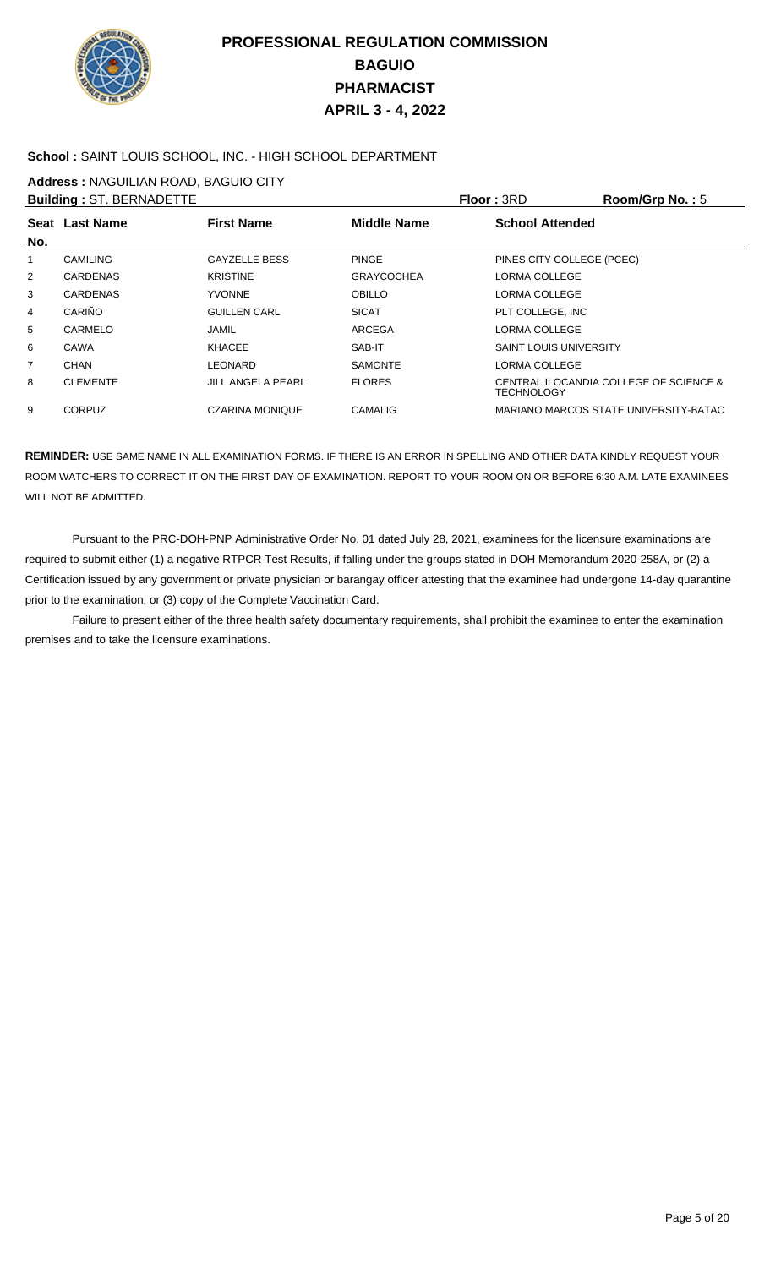

### **School :** SAINT LOUIS SCHOOL, INC. - HIGH SCHOOL DEPARTMENT

**Address :** NAGUILIAN ROAD, BAGUIO CITY

|     | <b>Building: ST. BERNADETTE</b> |                        |                   | <b>Floor: 3RD</b>             | Room/Grp No.: $5$                      |
|-----|---------------------------------|------------------------|-------------------|-------------------------------|----------------------------------------|
|     | Seat Last Name                  | <b>First Name</b>      | Middle Name       | <b>School Attended</b>        |                                        |
| No. |                                 |                        |                   |                               |                                        |
| 1   | <b>CAMILING</b>                 | <b>GAYZELLE BESS</b>   | <b>PINGE</b>      | PINES CITY COLLEGE (PCEC)     |                                        |
| 2   | <b>CARDENAS</b>                 | <b>KRISTINE</b>        | <b>GRAYCOCHEA</b> | LORMA COLLEGE                 |                                        |
| 3   | <b>CARDENAS</b>                 | <b>YVONNE</b>          | <b>OBILLO</b>     | LORMA COLLEGE                 |                                        |
| 4   | CARIÑO                          | <b>GUILLEN CARL</b>    | <b>SICAT</b>      | PLT COLLEGE. INC              |                                        |
| 5   | CARMELO                         | JAMIL                  | <b>ARCEGA</b>     | LORMA COLLEGE                 |                                        |
| 6   | CAWA                            | <b>KHACEE</b>          | SAB-IT            | <b>SAINT LOUIS UNIVERSITY</b> |                                        |
| 7   | CHAN                            | LEONARD                | <b>SAMONTE</b>    | LORMA COLLEGE                 |                                        |
| 8   | <b>CLEMENTE</b>                 | JILL ANGELA PEARL      | <b>FLORES</b>     | TECHNOLOGY                    | CENTRAL ILOCANDIA COLLEGE OF SCIENCE & |
| 9   | <b>CORPUZ</b>                   | <b>CZARINA MONIQUE</b> | <b>CAMALIG</b>    |                               | MARIANO MARCOS STATE UNIVERSITY-BATAC  |
|     |                                 |                        |                   |                               |                                        |

**REMINDER:** USE SAME NAME IN ALL EXAMINATION FORMS. IF THERE IS AN ERROR IN SPELLING AND OTHER DATA KINDLY REQUEST YOUR ROOM WATCHERS TO CORRECT IT ON THE FIRST DAY OF EXAMINATION. REPORT TO YOUR ROOM ON OR BEFORE 6:30 A.M. LATE EXAMINEES WILL NOT BE ADMITTED.

 Pursuant to the PRC-DOH-PNP Administrative Order No. 01 dated July 28, 2021, examinees for the licensure examinations are required to submit either (1) a negative RTPCR Test Results, if falling under the groups stated in DOH Memorandum 2020-258A, or (2) a Certification issued by any government or private physician or barangay officer attesting that the examinee had undergone 14-day quarantine prior to the examination, or (3) copy of the Complete Vaccination Card.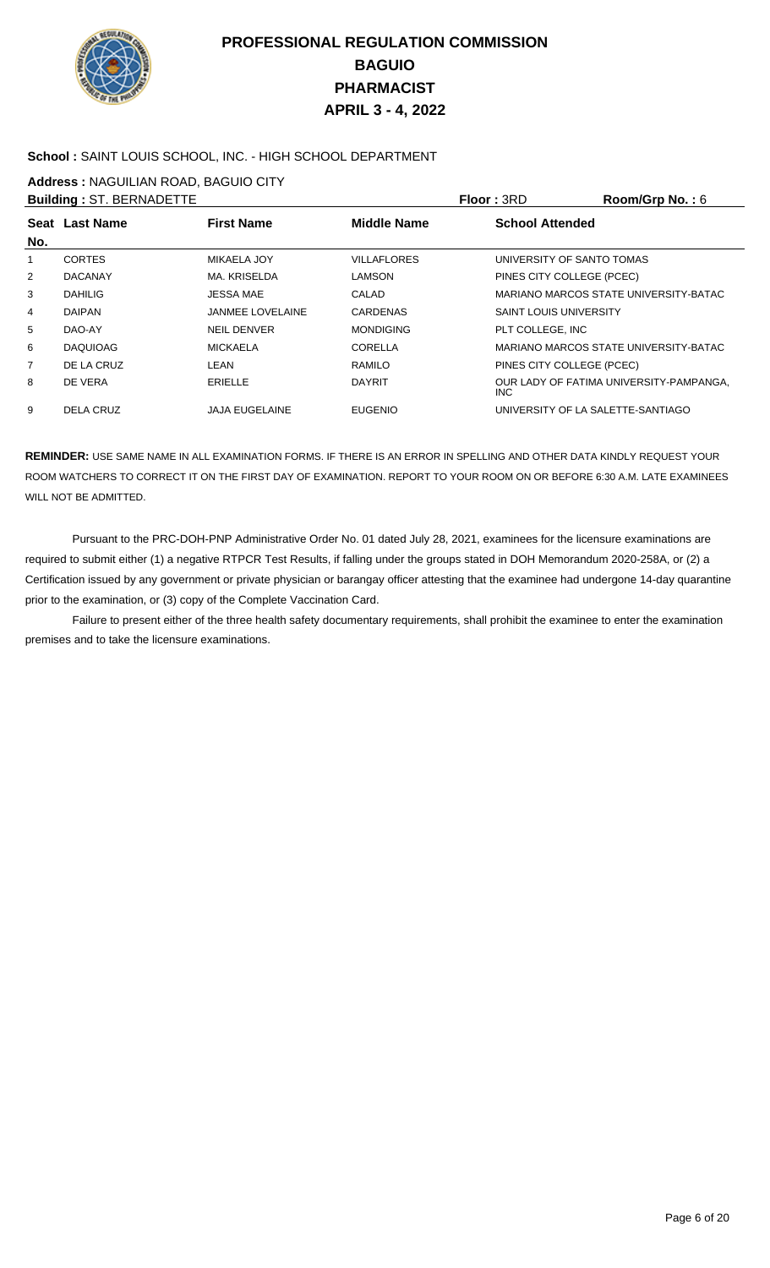

### **School :** SAINT LOUIS SCHOOL, INC. - HIGH SCHOOL DEPARTMENT

**Address :** NAGUILIAN ROAD, BAGUIO CITY

|                | <b>Building: ST. BERNADETTE</b> |                         |                    | <b>Floor: 3RD</b>                 | Room/Grp No.: 6                         |
|----------------|---------------------------------|-------------------------|--------------------|-----------------------------------|-----------------------------------------|
|                | Seat Last Name                  | <b>First Name</b>       | <b>Middle Name</b> | <b>School Attended</b>            |                                         |
| No.            |                                 |                         |                    |                                   |                                         |
| 1              | <b>CORTES</b>                   | <b>MIKAELA JOY</b>      | <b>VILLAFLORES</b> | UNIVERSITY OF SANTO TOMAS         |                                         |
| 2              | <b>DACANAY</b>                  | MA. KRISELDA            | <b>LAMSON</b>      | PINES CITY COLLEGE (PCEC)         |                                         |
| 3              | <b>DAHILIG</b>                  | <b>JESSA MAE</b>        | CALAD              |                                   | MARIANO MARCOS STATE UNIVERSITY-BATAC   |
| 4              | <b>DAIPAN</b>                   | <b>JANMEE LOVELAINE</b> | CARDENAS           | <b>SAINT LOUIS UNIVERSITY</b>     |                                         |
| 5              | DAO-AY                          | <b>NEIL DENVER</b>      | <b>MONDIGING</b>   | PLT COLLEGE, INC                  |                                         |
| 6              | <b>DAQUIOAG</b>                 | <b>MICKAELA</b>         | <b>CORELLA</b>     |                                   | MARIANO MARCOS STATE UNIVERSITY-BATAC   |
| $\overline{7}$ | DE LA CRUZ                      | LEAN                    | RAMILO             | PINES CITY COLLEGE (PCEC)         |                                         |
| 8              | DE VERA                         | <b>ERIELLE</b>          | <b>DAYRIT</b>      | INC.                              | OUR LADY OF FATIMA UNIVERSITY-PAMPANGA. |
| 9              | <b>DELA CRUZ</b>                | <b>JAJA EUGELAINE</b>   | <b>EUGENIO</b>     | UNIVERSITY OF LA SALETTE-SANTIAGO |                                         |

**REMINDER:** USE SAME NAME IN ALL EXAMINATION FORMS. IF THERE IS AN ERROR IN SPELLING AND OTHER DATA KINDLY REQUEST YOUR ROOM WATCHERS TO CORRECT IT ON THE FIRST DAY OF EXAMINATION. REPORT TO YOUR ROOM ON OR BEFORE 6:30 A.M. LATE EXAMINEES WILL NOT BE ADMITTED.

 Pursuant to the PRC-DOH-PNP Administrative Order No. 01 dated July 28, 2021, examinees for the licensure examinations are required to submit either (1) a negative RTPCR Test Results, if falling under the groups stated in DOH Memorandum 2020-258A, or (2) a Certification issued by any government or private physician or barangay officer attesting that the examinee had undergone 14-day quarantine prior to the examination, or (3) copy of the Complete Vaccination Card.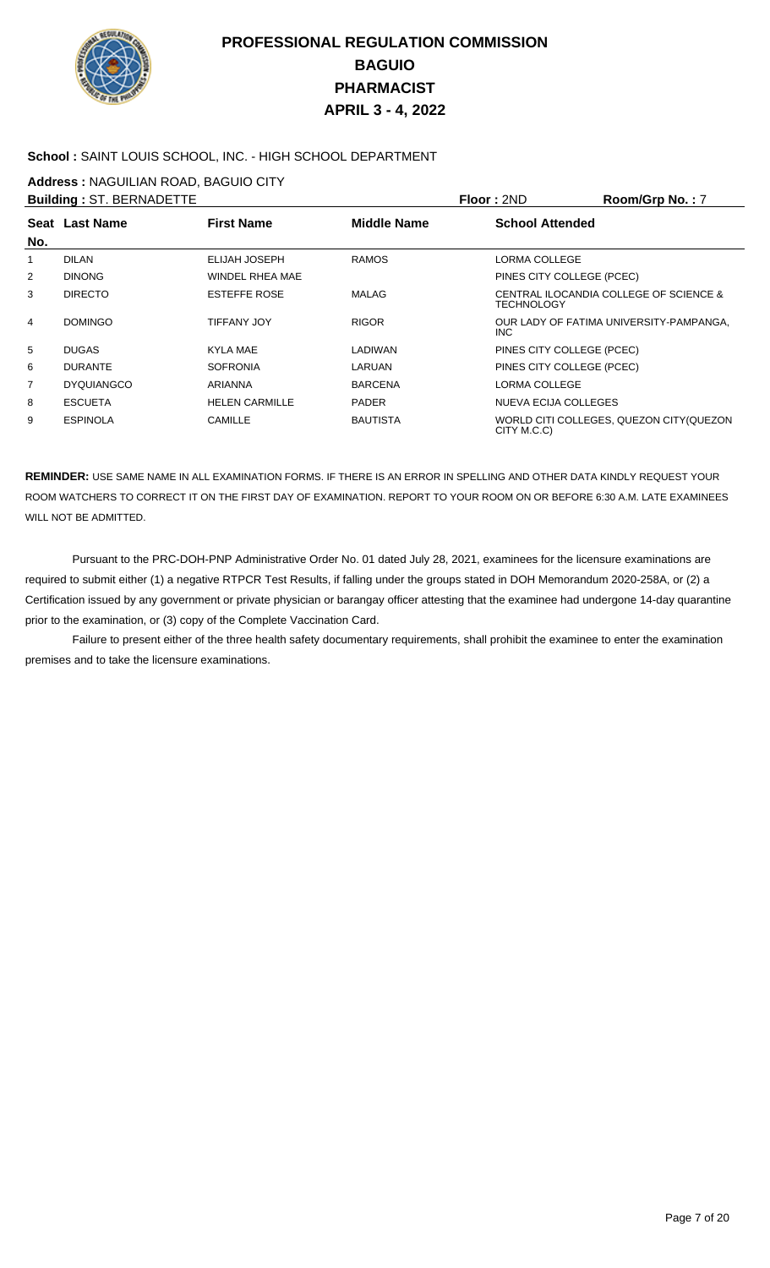

#### **School :** SAINT LOUIS SCHOOL, INC. - HIGH SCHOOL DEPARTMENT

**Address :** NAGUILIAN ROAD, BAGUIO CITY

|                | <b>Building: ST. BERNADETTE</b> |                       |                    | Floor: 2ND                | Room/Grp No.: 7                          |
|----------------|---------------------------------|-----------------------|--------------------|---------------------------|------------------------------------------|
| No.            | Seat Last Name                  | <b>First Name</b>     | <b>Middle Name</b> | <b>School Attended</b>    |                                          |
| 1              | <b>DILAN</b>                    | ELIJAH JOSEPH         | <b>RAMOS</b>       | <b>LORMA COLLEGE</b>      |                                          |
| 2              | <b>DINONG</b>                   | WINDEL RHEA MAE       |                    | PINES CITY COLLEGE (PCEC) |                                          |
| 3              | <b>DIRECTO</b>                  | <b>ESTEFFE ROSE</b>   | MALAG              | <b>TECHNOLOGY</b>         | CENTRAL ILOCANDIA COLLEGE OF SCIENCE &   |
| 4              | <b>DOMINGO</b>                  | <b>TIFFANY JOY</b>    | <b>RIGOR</b>       | INC.                      | OUR LADY OF FATIMA UNIVERSITY-PAMPANGA.  |
| 5              | <b>DUGAS</b>                    | KYLA MAE              | LADIWAN            | PINES CITY COLLEGE (PCEC) |                                          |
| 6              | <b>DURANTE</b>                  | <b>SOFRONIA</b>       | LARUAN             | PINES CITY COLLEGE (PCEC) |                                          |
| $\overline{7}$ | <b>DYQUIANGCO</b>               | ARIANNA               | <b>BARCENA</b>     | <b>LORMA COLLEGE</b>      |                                          |
| 8              | <b>ESCUETA</b>                  | <b>HELEN CARMILLE</b> | <b>PADER</b>       | NUEVA ECIJA COLLEGES      |                                          |
| 9              | <b>ESPINOLA</b>                 | CAMILLE               | <b>BAUTISTA</b>    | CITY M.C.C)               | WORLD CITI COLLEGES, QUEZON CITY (QUEZON |

**REMINDER:** USE SAME NAME IN ALL EXAMINATION FORMS. IF THERE IS AN ERROR IN SPELLING AND OTHER DATA KINDLY REQUEST YOUR ROOM WATCHERS TO CORRECT IT ON THE FIRST DAY OF EXAMINATION. REPORT TO YOUR ROOM ON OR BEFORE 6:30 A.M. LATE EXAMINEES WILL NOT BE ADMITTED.

 Pursuant to the PRC-DOH-PNP Administrative Order No. 01 dated July 28, 2021, examinees for the licensure examinations are required to submit either (1) a negative RTPCR Test Results, if falling under the groups stated in DOH Memorandum 2020-258A, or (2) a Certification issued by any government or private physician or barangay officer attesting that the examinee had undergone 14-day quarantine prior to the examination, or (3) copy of the Complete Vaccination Card.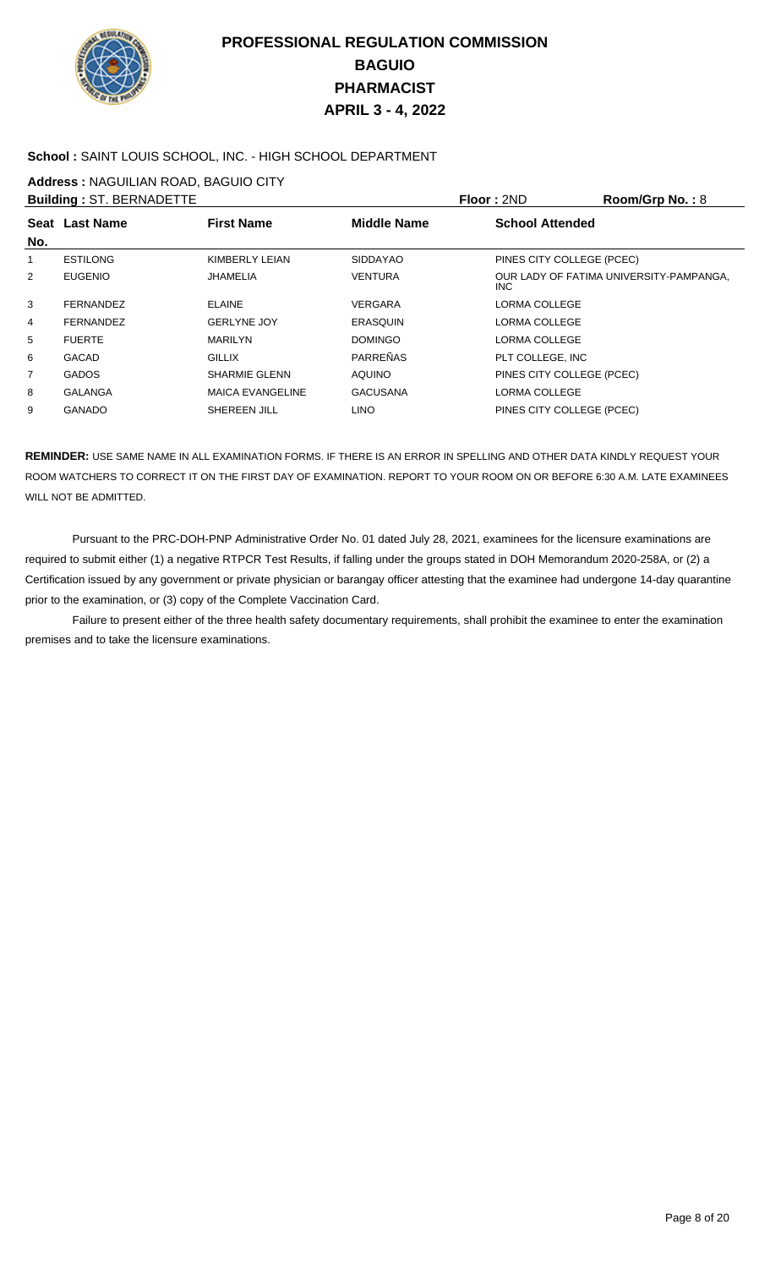

### **School :** SAINT LOUIS SCHOOL, INC. - HIGH SCHOOL DEPARTMENT

**Address :** NAGUILIAN ROAD, BAGUIO CITY

|     | <b>Building: ST. BERNADETTE</b> |                         |                 | Floor: 2ND                | Room/Grp No.: 8                         |
|-----|---------------------------------|-------------------------|-----------------|---------------------------|-----------------------------------------|
|     | Seat Last Name                  | <b>First Name</b>       | Middle Name     | <b>School Attended</b>    |                                         |
| No. |                                 |                         |                 |                           |                                         |
| 1   | <b>ESTILONG</b>                 | KIMBERLY LEIAN          | <b>SIDDAYAO</b> | PINES CITY COLLEGE (PCEC) |                                         |
| 2   | <b>EUGENIO</b>                  | JHAMELIA                | <b>VENTURA</b>  | INC.                      | OUR LADY OF FATIMA UNIVERSITY-PAMPANGA, |
| 3   | <b>FERNANDEZ</b>                | <b>ELAINE</b>           | <b>VERGARA</b>  | LORMA COLLEGE             |                                         |
| 4   | <b>FERNANDEZ</b>                | <b>GERLYNE JOY</b>      | <b>ERASQUIN</b> | LORMA COLLEGE             |                                         |
| 5   | <b>FUERTE</b>                   | <b>MARILYN</b>          | <b>DOMINGO</b>  | LORMA COLLEGE             |                                         |
| 6   | <b>GACAD</b>                    | <b>GILLIX</b>           | PARREÑAS        | PLT COLLEGE. INC          |                                         |
| 7   | <b>GADOS</b>                    | <b>SHARMIE GLENN</b>    | AQUINO          | PINES CITY COLLEGE (PCEC) |                                         |
| 8   | <b>GALANGA</b>                  | <b>MAICA EVANGELINE</b> | <b>GACUSANA</b> | LORMA COLLEGE             |                                         |
| 9   | <b>GANADO</b>                   | SHEREEN JILL            | <b>LINO</b>     | PINES CITY COLLEGE (PCEC) |                                         |

**REMINDER:** USE SAME NAME IN ALL EXAMINATION FORMS. IF THERE IS AN ERROR IN SPELLING AND OTHER DATA KINDLY REQUEST YOUR ROOM WATCHERS TO CORRECT IT ON THE FIRST DAY OF EXAMINATION. REPORT TO YOUR ROOM ON OR BEFORE 6:30 A.M. LATE EXAMINEES WILL NOT BE ADMITTED.

 Pursuant to the PRC-DOH-PNP Administrative Order No. 01 dated July 28, 2021, examinees for the licensure examinations are required to submit either (1) a negative RTPCR Test Results, if falling under the groups stated in DOH Memorandum 2020-258A, or (2) a Certification issued by any government or private physician or barangay officer attesting that the examinee had undergone 14-day quarantine prior to the examination, or (3) copy of the Complete Vaccination Card.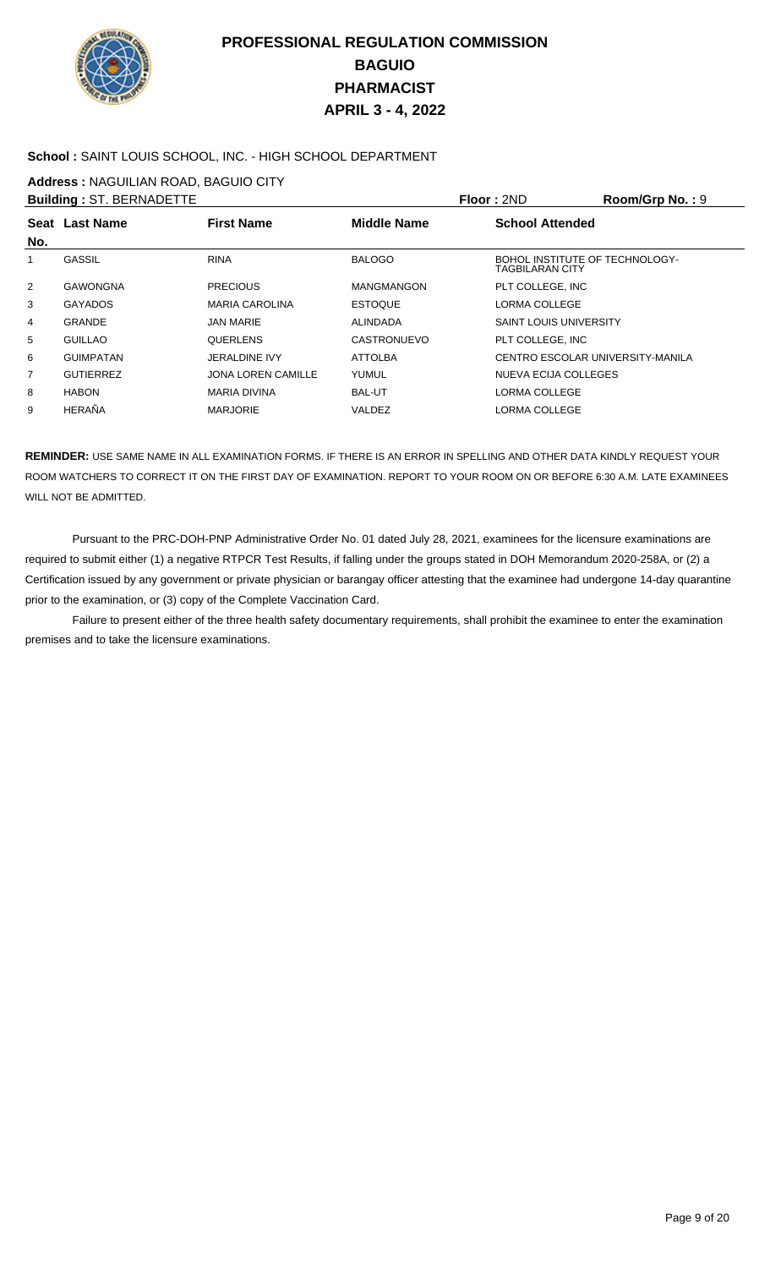

### **School :** SAINT LOUIS SCHOOL, INC. - HIGH SCHOOL DEPARTMENT

**Address :** NAGUILIAN ROAD, BAGUIO CITY

|     | <b>Building: ST. BERNADETTE</b> |                           |                    | <b>Floor: 2ND</b>                                 | Room/Grp No.: 9 |
|-----|---------------------------------|---------------------------|--------------------|---------------------------------------------------|-----------------|
|     | Seat Last Name                  | <b>First Name</b>         | <b>Middle Name</b> | <b>School Attended</b>                            |                 |
| No. |                                 |                           |                    |                                                   |                 |
|     | <b>GASSIL</b>                   | <b>RINA</b>               | <b>BALOGO</b>      | BOHOL INSTITUTE OF TECHNOLOGY-<br>TAGBILARAN CITY |                 |
| 2   | <b>GAWONGNA</b>                 | <b>PRECIOUS</b>           | <b>MANGMANGON</b>  | PLT COLLEGE. INC                                  |                 |
| 3   | <b>GAYADOS</b>                  | <b>MARIA CAROLINA</b>     | <b>ESTOQUE</b>     | LORMA COLLEGE                                     |                 |
| 4   | GRANDE                          | <b>JAN MARIE</b>          | <b>ALINDADA</b>    | <b>SAINT LOUIS UNIVERSITY</b>                     |                 |
| 5   | <b>GUILLAO</b>                  | <b>QUERLENS</b>           | <b>CASTRONUEVO</b> | PLT COLLEGE. INC                                  |                 |
| 6   | <b>GUIMPATAN</b>                | <b>JERALDINE IVY</b>      | <b>ATTOLBA</b>     | CENTRO ESCOLAR UNIVERSITY-MANILA                  |                 |
| 7   | <b>GUTIERREZ</b>                | <b>JONA LOREN CAMILLE</b> | YUMUL              | NUEVA ECIJA COLLEGES                              |                 |
| 8   | <b>HABON</b>                    | <b>MARIA DIVINA</b>       | <b>BAL-UT</b>      | LORMA COLLEGE                                     |                 |
| 9   | HERAÑA                          | <b>MARJORIE</b>           | VALDEZ             | LORMA COLLEGE                                     |                 |

**REMINDER:** USE SAME NAME IN ALL EXAMINATION FORMS. IF THERE IS AN ERROR IN SPELLING AND OTHER DATA KINDLY REQUEST YOUR ROOM WATCHERS TO CORRECT IT ON THE FIRST DAY OF EXAMINATION. REPORT TO YOUR ROOM ON OR BEFORE 6:30 A.M. LATE EXAMINEES WILL NOT BE ADMITTED.

 Pursuant to the PRC-DOH-PNP Administrative Order No. 01 dated July 28, 2021, examinees for the licensure examinations are required to submit either (1) a negative RTPCR Test Results, if falling under the groups stated in DOH Memorandum 2020-258A, or (2) a Certification issued by any government or private physician or barangay officer attesting that the examinee had undergone 14-day quarantine prior to the examination, or (3) copy of the Complete Vaccination Card.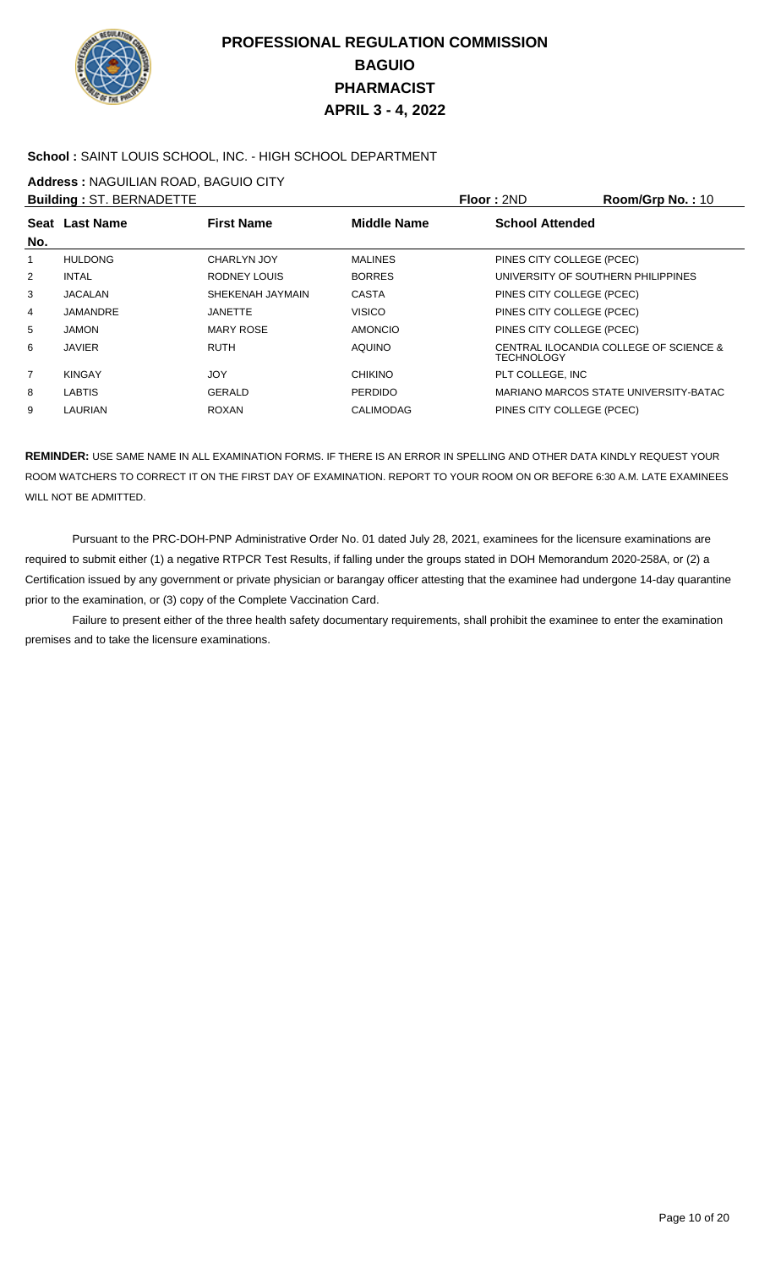

#### **School :** SAINT LOUIS SCHOOL, INC. - HIGH SCHOOL DEPARTMENT

**Address :** NAGUILIAN ROAD, BAGUIO CITY

|                | <b>Building: ST. BERNADETTE</b> |                   |                    | Floor: 2ND                | Room/Grp No.: 10                       |
|----------------|---------------------------------|-------------------|--------------------|---------------------------|----------------------------------------|
|                | Seat Last Name                  | <b>First Name</b> | <b>Middle Name</b> | <b>School Attended</b>    |                                        |
| No.            |                                 |                   |                    |                           |                                        |
| 1              | <b>HULDONG</b>                  | CHARLYN JOY       | <b>MALINES</b>     | PINES CITY COLLEGE (PCEC) |                                        |
| 2              | <b>INTAL</b>                    | RODNEY LOUIS      | <b>BORRES</b>      |                           | UNIVERSITY OF SOUTHERN PHILIPPINES     |
| 3              | <b>JACALAN</b>                  | SHEKENAH JAYMAIN  | CASTA              | PINES CITY COLLEGE (PCEC) |                                        |
| 4              | JAMANDRE                        | JANETTE           | <b>VISICO</b>      | PINES CITY COLLEGE (PCEC) |                                        |
| 5              | <b>JAMON</b>                    | <b>MARY ROSE</b>  | <b>AMONCIO</b>     | PINES CITY COLLEGE (PCEC) |                                        |
| 6              | JAVIER                          | <b>RUTH</b>       | <b>AQUINO</b>      | <b>TECHNOLOGY</b>         | CENTRAL ILOCANDIA COLLEGE OF SCIENCE & |
| $\overline{7}$ | <b>KINGAY</b>                   | <b>JOY</b>        | <b>CHIKINO</b>     | PLT COLLEGE. INC          |                                        |
| 8              | <b>LABTIS</b>                   | GERALD            | <b>PERDIDO</b>     |                           | MARIANO MARCOS STATE UNIVERSITY-BATAC  |
| 9              | <b>LAURIAN</b>                  | <b>ROXAN</b>      | <b>CALIMODAG</b>   | PINES CITY COLLEGE (PCEC) |                                        |

**REMINDER:** USE SAME NAME IN ALL EXAMINATION FORMS. IF THERE IS AN ERROR IN SPELLING AND OTHER DATA KINDLY REQUEST YOUR ROOM WATCHERS TO CORRECT IT ON THE FIRST DAY OF EXAMINATION. REPORT TO YOUR ROOM ON OR BEFORE 6:30 A.M. LATE EXAMINEES WILL NOT BE ADMITTED.

 Pursuant to the PRC-DOH-PNP Administrative Order No. 01 dated July 28, 2021, examinees for the licensure examinations are required to submit either (1) a negative RTPCR Test Results, if falling under the groups stated in DOH Memorandum 2020-258A, or (2) a Certification issued by any government or private physician or barangay officer attesting that the examinee had undergone 14-day quarantine prior to the examination, or (3) copy of the Complete Vaccination Card.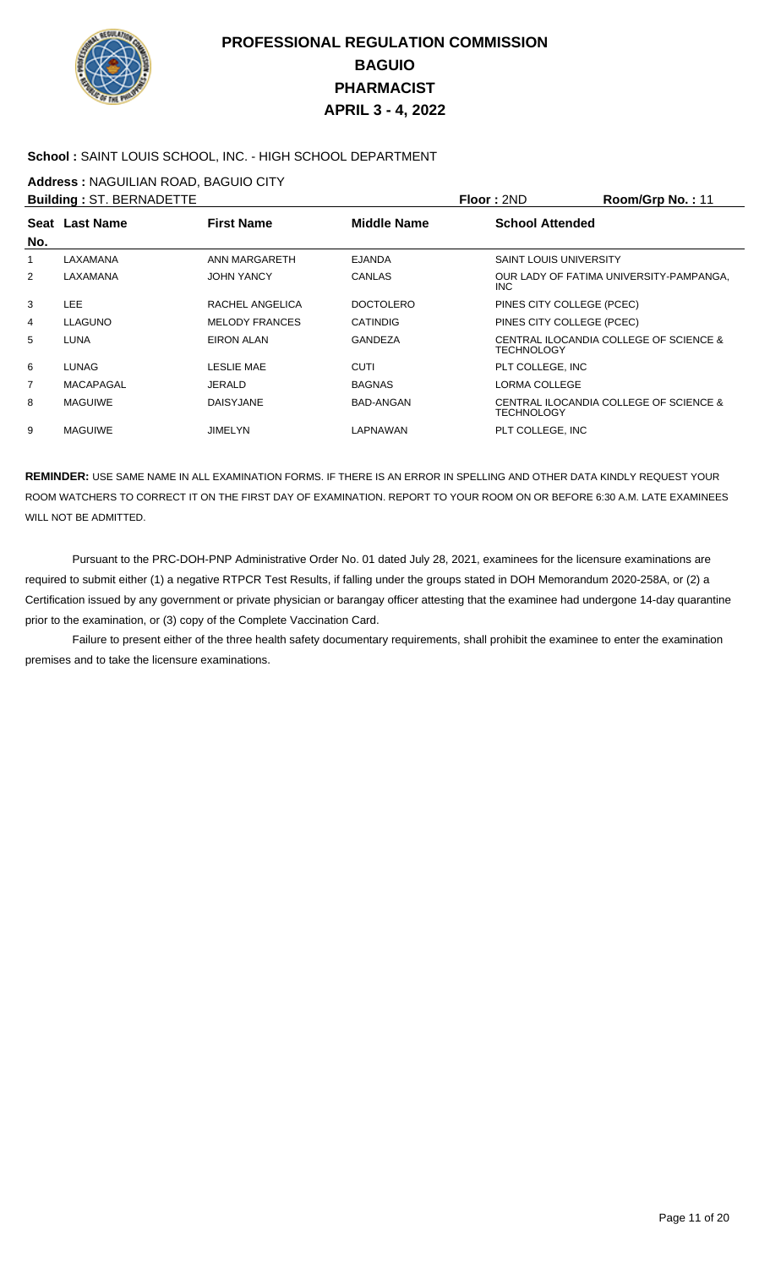

### **School :** SAINT LOUIS SCHOOL, INC. - HIGH SCHOOL DEPARTMENT

**Address :** NAGUILIAN ROAD, BAGUIO CITY

|                | <b>Building: ST. BERNADETTE</b> |                       |                  | Floor: 2ND                    | Room/Grp No.: 11                        |
|----------------|---------------------------------|-----------------------|------------------|-------------------------------|-----------------------------------------|
|                | <b>Seat Last Name</b>           | <b>First Name</b>     | Middle Name      | <b>School Attended</b>        |                                         |
| No.            |                                 |                       |                  |                               |                                         |
| 1              | LAXAMANA                        | ANN MARGARETH         | <b>EJANDA</b>    | <b>SAINT LOUIS UNIVERSITY</b> |                                         |
| $\overline{2}$ | LAXAMANA                        | <b>JOHN YANCY</b>     | CANLAS           | INC.                          | OUR LADY OF FATIMA UNIVERSITY-PAMPANGA, |
| 3              | <b>LEE</b>                      | RACHEL ANGELICA       | <b>DOCTOLERO</b> | PINES CITY COLLEGE (PCEC)     |                                         |
| 4              | <b>LLAGUNO</b>                  | <b>MELODY FRANCES</b> | <b>CATINDIG</b>  | PINES CITY COLLEGE (PCEC)     |                                         |
| 5              | LUNA                            | <b>EIRON ALAN</b>     | <b>GANDEZA</b>   | <b>TECHNOLOGY</b>             | CENTRAL ILOCANDIA COLLEGE OF SCIENCE &  |
| 6              | LUNAG                           | LESLIE MAE            | <b>CUTI</b>      | PLT COLLEGE. INC              |                                         |
| 7              | MACAPAGAL                       | <b>JERALD</b>         | <b>BAGNAS</b>    | LORMA COLLEGE                 |                                         |
| 8              | <b>MAGUIWE</b>                  | <b>DAISYJANE</b>      | BAD-ANGAN        | <b>TECHNOLOGY</b>             | CENTRAL ILOCANDIA COLLEGE OF SCIENCE &  |
| 9              | <b>MAGUIWE</b>                  | <b>JIMELYN</b>        | LAPNAWAN         | PLT COLLEGE, INC              |                                         |

**REMINDER:** USE SAME NAME IN ALL EXAMINATION FORMS. IF THERE IS AN ERROR IN SPELLING AND OTHER DATA KINDLY REQUEST YOUR ROOM WATCHERS TO CORRECT IT ON THE FIRST DAY OF EXAMINATION. REPORT TO YOUR ROOM ON OR BEFORE 6:30 A.M. LATE EXAMINEES WILL NOT BE ADMITTED.

 Pursuant to the PRC-DOH-PNP Administrative Order No. 01 dated July 28, 2021, examinees for the licensure examinations are required to submit either (1) a negative RTPCR Test Results, if falling under the groups stated in DOH Memorandum 2020-258A, or (2) a Certification issued by any government or private physician or barangay officer attesting that the examinee had undergone 14-day quarantine prior to the examination, or (3) copy of the Complete Vaccination Card.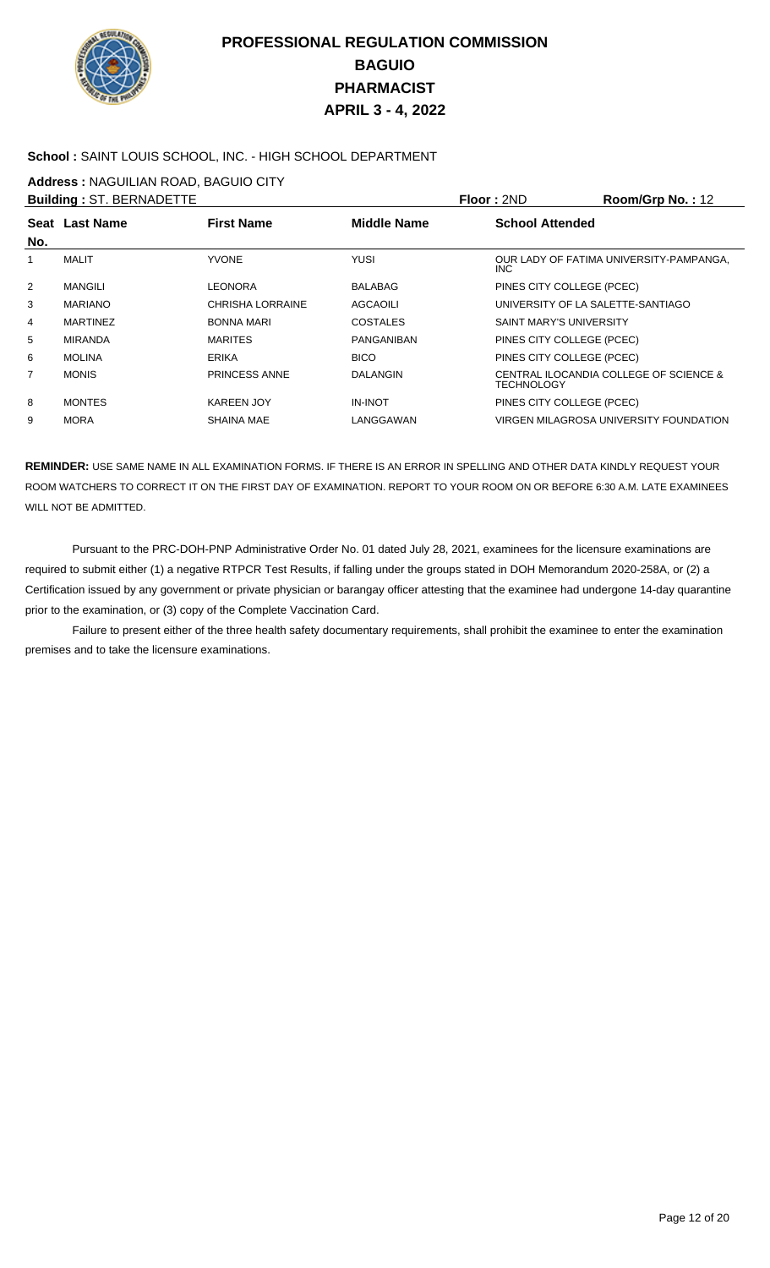

### **School :** SAINT LOUIS SCHOOL, INC. - HIGH SCHOOL DEPARTMENT

**Address :** NAGUILIAN ROAD, BAGUIO CITY

|                 |                                 |                    |                                   | Room/Grp No.: 12                        |
|-----------------|---------------------------------|--------------------|-----------------------------------|-----------------------------------------|
| Seat Last Name  | <b>First Name</b>               | <b>Middle Name</b> | <b>School Attended</b>            |                                         |
| MALIT           | <b>YVONE</b>                    | <b>YUSI</b>        | INC.                              | OUR LADY OF FATIMA UNIVERSITY-PAMPANGA, |
| <b>MANGILI</b>  | LEONORA                         | <b>BALABAG</b>     | PINES CITY COLLEGE (PCEC)         |                                         |
| <b>MARIANO</b>  | <b>CHRISHA LORRAINE</b>         | AGCAOILI           | UNIVERSITY OF LA SALETTE-SANTIAGO |                                         |
| <b>MARTINEZ</b> | <b>BONNA MARI</b>               | COSTALES           | <b>SAINT MARY'S UNIVERSITY</b>    |                                         |
| <b>MIRANDA</b>  | <b>MARITES</b>                  | PANGANIBAN         | PINES CITY COLLEGE (PCEC)         |                                         |
| <b>MOLINA</b>   | <b>ERIKA</b>                    | <b>BICO</b>        | PINES CITY COLLEGE (PCEC)         |                                         |
| <b>MONIS</b>    | <b>PRINCESS ANNE</b>            | DALANGIN           | <b>TECHNOLOGY</b>                 | CENTRAL ILOCANDIA COLLEGE OF SCIENCE &  |
| <b>MONTES</b>   | <b>KAREEN JOY</b>               | <b>IN-INOT</b>     | PINES CITY COLLEGE (PCEC)         |                                         |
| <b>MORA</b>     | <b>SHAINA MAE</b>               | LANGGAWAN          |                                   | VIRGEN MILAGROSA UNIVERSITY FOUNDATION  |
|                 | <b>Building: ST. BERNADETTE</b> |                    |                                   | Floor: 2ND                              |

**REMINDER:** USE SAME NAME IN ALL EXAMINATION FORMS. IF THERE IS AN ERROR IN SPELLING AND OTHER DATA KINDLY REQUEST YOUR ROOM WATCHERS TO CORRECT IT ON THE FIRST DAY OF EXAMINATION. REPORT TO YOUR ROOM ON OR BEFORE 6:30 A.M. LATE EXAMINEES WILL NOT BE ADMITTED.

 Pursuant to the PRC-DOH-PNP Administrative Order No. 01 dated July 28, 2021, examinees for the licensure examinations are required to submit either (1) a negative RTPCR Test Results, if falling under the groups stated in DOH Memorandum 2020-258A, or (2) a Certification issued by any government or private physician or barangay officer attesting that the examinee had undergone 14-day quarantine prior to the examination, or (3) copy of the Complete Vaccination Card.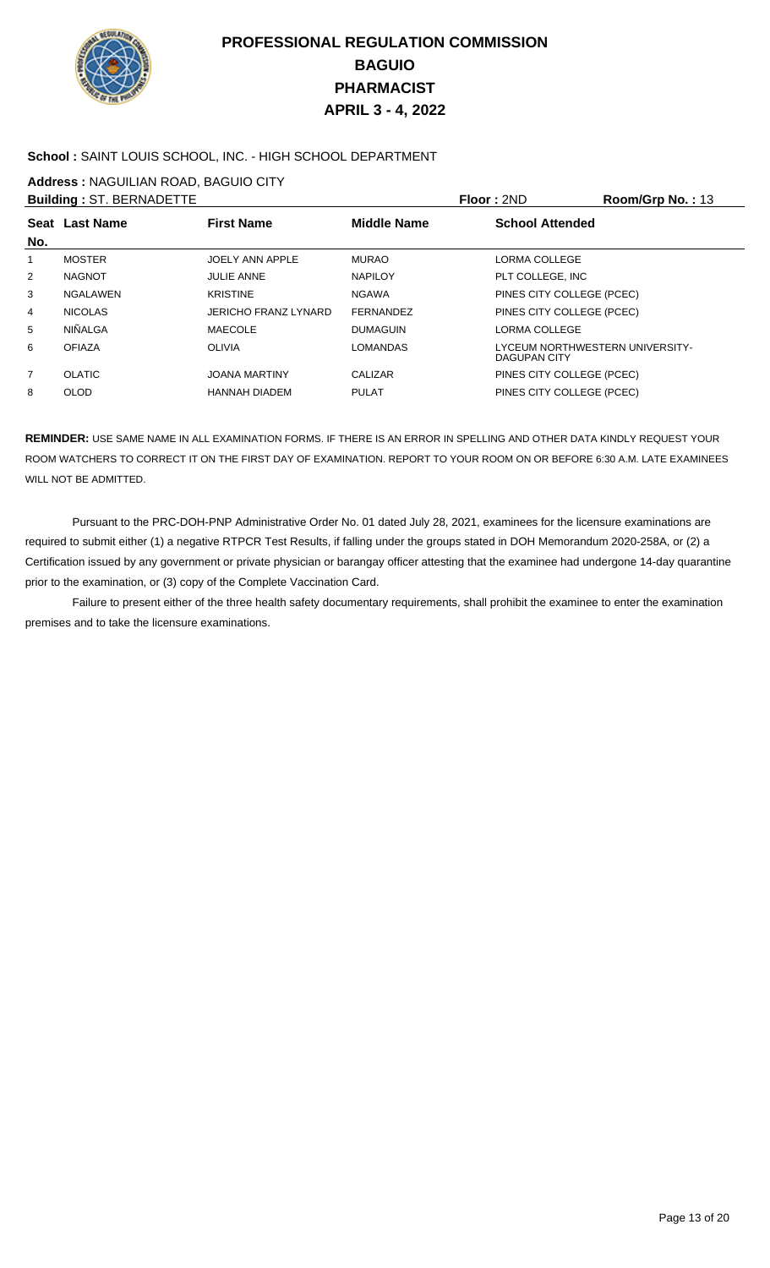

### **School :** SAINT LOUIS SCHOOL, INC. - HIGH SCHOOL DEPARTMENT

**Address :** NAGUILIAN ROAD, BAGUIO CITY

|                 |                                                   |                    |                                                 | Room/Grp No.: 13 |
|-----------------|---------------------------------------------------|--------------------|-------------------------------------------------|------------------|
|                 | <b>First Name</b>                                 | <b>Middle Name</b> | <b>School Attended</b>                          |                  |
| <b>MOSTER</b>   | JOELY ANN APPLE                                   | <b>MURAO</b>       | LORMA COLLEGE                                   |                  |
| <b>NAGNOT</b>   | <b>JULIE ANNE</b>                                 | <b>NAPILOY</b>     | PLT COLLEGE, INC                                |                  |
| <b>NGALAWEN</b> | <b>KRISTINE</b>                                   | <b>NGAWA</b>       | PINES CITY COLLEGE (PCEC)                       |                  |
| <b>NICOLAS</b>  | <b>JERICHO FRANZ LYNARD</b>                       | <b>FERNANDEZ</b>   | PINES CITY COLLEGE (PCEC)                       |                  |
| <b>NIÑALGA</b>  | MAECOLE                                           | <b>DUMAGUIN</b>    | <b>LORMA COLLEGE</b>                            |                  |
| <b>OFIAZA</b>   | <b>OLIVIA</b>                                     | <b>LOMANDAS</b>    | LYCEUM NORTHWESTERN UNIVERSITY-<br>DAGUPAN CITY |                  |
| <b>OLATIC</b>   | <b>JOANA MARTINY</b>                              | CALIZAR            | PINES CITY COLLEGE (PCEC)                       |                  |
| <b>OLOD</b>     | <b>HANNAH DIADEM</b>                              | <b>PULAT</b>       | PINES CITY COLLEGE (PCEC)                       |                  |
|                 | <b>Building: ST. BERNADETTE</b><br>Seat Last Name |                    |                                                 | Floor: 2ND       |

**REMINDER:** USE SAME NAME IN ALL EXAMINATION FORMS. IF THERE IS AN ERROR IN SPELLING AND OTHER DATA KINDLY REQUEST YOUR ROOM WATCHERS TO CORRECT IT ON THE FIRST DAY OF EXAMINATION. REPORT TO YOUR ROOM ON OR BEFORE 6:30 A.M. LATE EXAMINEES WILL NOT BE ADMITTED.

 Pursuant to the PRC-DOH-PNP Administrative Order No. 01 dated July 28, 2021, examinees for the licensure examinations are required to submit either (1) a negative RTPCR Test Results, if falling under the groups stated in DOH Memorandum 2020-258A, or (2) a Certification issued by any government or private physician or barangay officer attesting that the examinee had undergone 14-day quarantine prior to the examination, or (3) copy of the Complete Vaccination Card.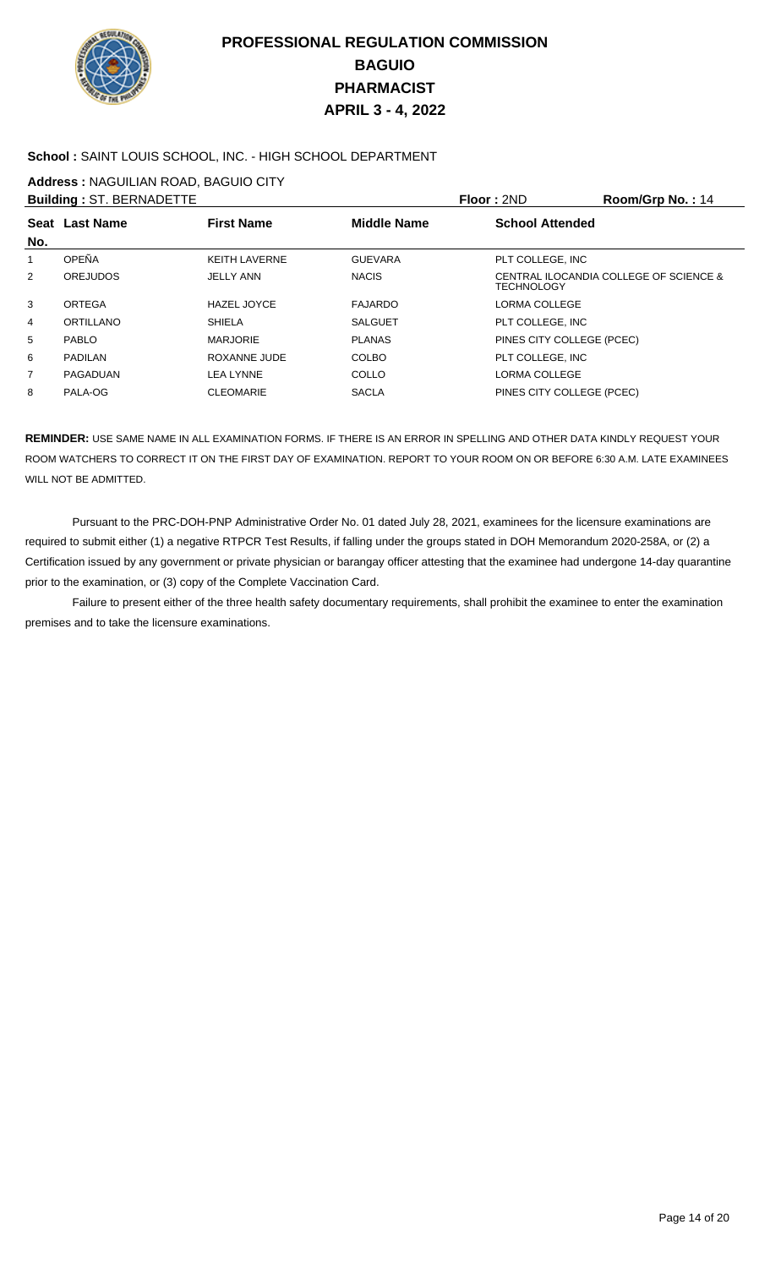

### **School :** SAINT LOUIS SCHOOL, INC. - HIGH SCHOOL DEPARTMENT

**Address :** NAGUILIAN ROAD, BAGUIO CITY

|                | <b>Building: ST. BERNADETTE</b> |                      |                    | Floor: 2ND                | Room/Grp No.: 14                       |
|----------------|---------------------------------|----------------------|--------------------|---------------------------|----------------------------------------|
| No.            | Seat Last Name                  | <b>First Name</b>    | <b>Middle Name</b> | <b>School Attended</b>    |                                        |
| 1              | OPEÑA                           | <b>KEITH LAVERNE</b> | <b>GUEVARA</b>     | PLT COLLEGE, INC          |                                        |
| $\overline{2}$ | <b>OREJUDOS</b>                 | <b>JELLY ANN</b>     | <b>NACIS</b>       | <b>TECHNOLOGY</b>         | CENTRAL ILOCANDIA COLLEGE OF SCIENCE & |
| 3              | ORTEGA                          | <b>HAZEL JOYCE</b>   | <b>FAJARDO</b>     | LORMA COLLEGE             |                                        |
| 4              | ORTILLANO                       | <b>SHIELA</b>        | <b>SALGUET</b>     | PLT COLLEGE. INC          |                                        |
| 5              | <b>PABLO</b>                    | <b>MARJORIE</b>      | <b>PLANAS</b>      | PINES CITY COLLEGE (PCEC) |                                        |
| 6              | <b>PADILAN</b>                  | ROXANNE JUDE         | <b>COLBO</b>       | PLT COLLEGE. INC          |                                        |
| $\overline{7}$ | PAGADUAN                        | LEA LYNNE            | <b>COLLO</b>       | LORMA COLLEGE             |                                        |
| 8              | PALA-OG                         | <b>CLEOMARIE</b>     | <b>SACLA</b>       | PINES CITY COLLEGE (PCEC) |                                        |
|                |                                 |                      |                    |                           |                                        |

**REMINDER:** USE SAME NAME IN ALL EXAMINATION FORMS. IF THERE IS AN ERROR IN SPELLING AND OTHER DATA KINDLY REQUEST YOUR ROOM WATCHERS TO CORRECT IT ON THE FIRST DAY OF EXAMINATION. REPORT TO YOUR ROOM ON OR BEFORE 6:30 A.M. LATE EXAMINEES WILL NOT BE ADMITTED.

 Pursuant to the PRC-DOH-PNP Administrative Order No. 01 dated July 28, 2021, examinees for the licensure examinations are required to submit either (1) a negative RTPCR Test Results, if falling under the groups stated in DOH Memorandum 2020-258A, or (2) a Certification issued by any government or private physician or barangay officer attesting that the examinee had undergone 14-day quarantine prior to the examination, or (3) copy of the Complete Vaccination Card.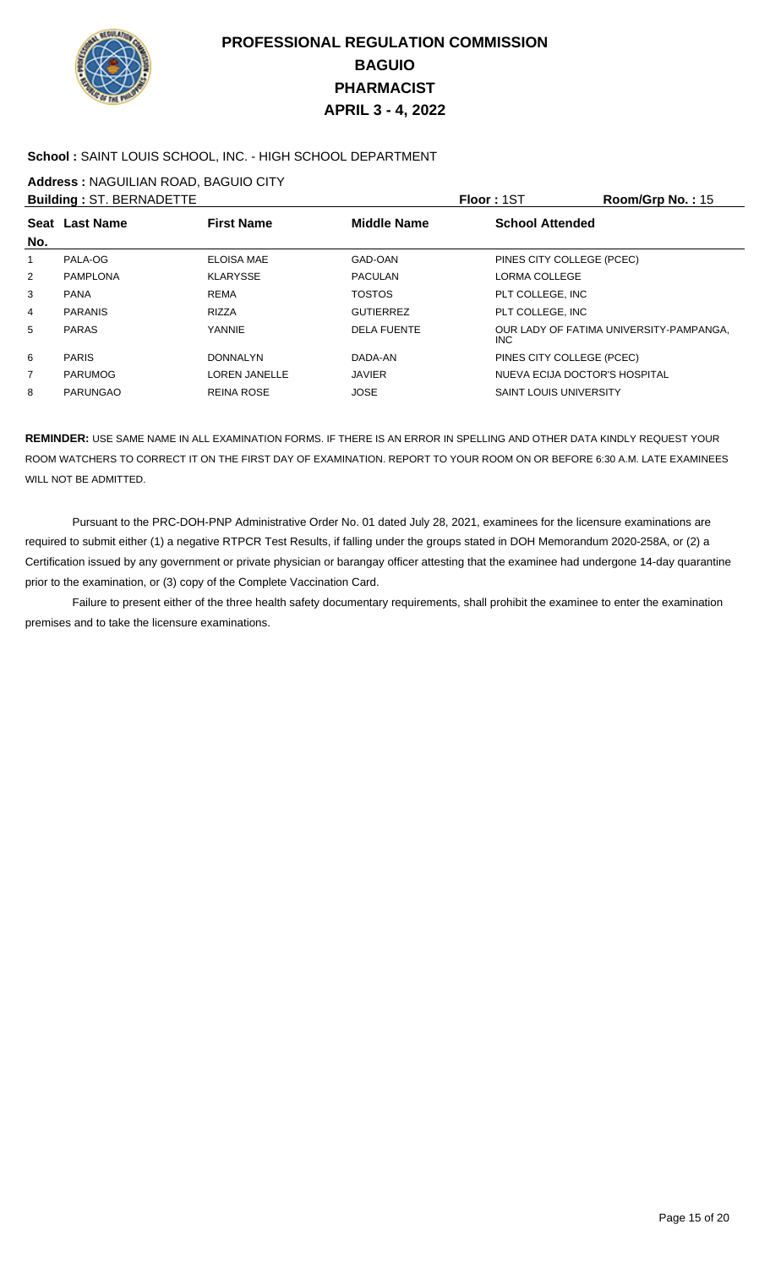

#### **School :** SAINT LOUIS SCHOOL, INC. - HIGH SCHOOL DEPARTMENT

**Address :** NAGUILIAN ROAD, BAGUIO CITY

|                | <b>Building: ST. BERNADETTE</b> |                      |                    | <b>Floor: 1ST</b>             | Room/Grp No.: $15$                      |
|----------------|---------------------------------|----------------------|--------------------|-------------------------------|-----------------------------------------|
| No.            | Seat Last Name                  | <b>First Name</b>    | <b>Middle Name</b> | <b>School Attended</b>        |                                         |
| 1              | PALA-OG                         | <b>ELOISA MAE</b>    | GAD-OAN            | PINES CITY COLLEGE (PCEC)     |                                         |
| 2              | PAMPLONA                        | <b>KLARYSSE</b>      | <b>PACULAN</b>     | <b>LORMA COLLEGE</b>          |                                         |
| 3              | <b>PANA</b>                     | <b>REMA</b>          | <b>TOSTOS</b>      | PLT COLLEGE, INC              |                                         |
| 4              | <b>PARANIS</b>                  | <b>RIZZA</b>         | <b>GUTIERREZ</b>   | PLT COLLEGE, INC              |                                         |
| 5              | <b>PARAS</b>                    | <b>YANNIE</b>        | <b>DELA FUENTE</b> | INC.                          | OUR LADY OF FATIMA UNIVERSITY-PAMPANGA, |
| 6              | <b>PARIS</b>                    | <b>DONNALYN</b>      | DADA-AN            | PINES CITY COLLEGE (PCEC)     |                                         |
| $\overline{7}$ | <b>PARUMOG</b>                  | <b>LOREN JANELLE</b> | <b>JAVIER</b>      | NUEVA ECIJA DOCTOR'S HOSPITAL |                                         |
| 8              | <b>PARUNGAO</b>                 | <b>REINA ROSE</b>    | <b>JOSE</b>        | <b>SAINT LOUIS UNIVERSITY</b> |                                         |

**REMINDER:** USE SAME NAME IN ALL EXAMINATION FORMS. IF THERE IS AN ERROR IN SPELLING AND OTHER DATA KINDLY REQUEST YOUR ROOM WATCHERS TO CORRECT IT ON THE FIRST DAY OF EXAMINATION. REPORT TO YOUR ROOM ON OR BEFORE 6:30 A.M. LATE EXAMINEES WILL NOT BE ADMITTED.

 Pursuant to the PRC-DOH-PNP Administrative Order No. 01 dated July 28, 2021, examinees for the licensure examinations are required to submit either (1) a negative RTPCR Test Results, if falling under the groups stated in DOH Memorandum 2020-258A, or (2) a Certification issued by any government or private physician or barangay officer attesting that the examinee had undergone 14-day quarantine prior to the examination, or (3) copy of the Complete Vaccination Card.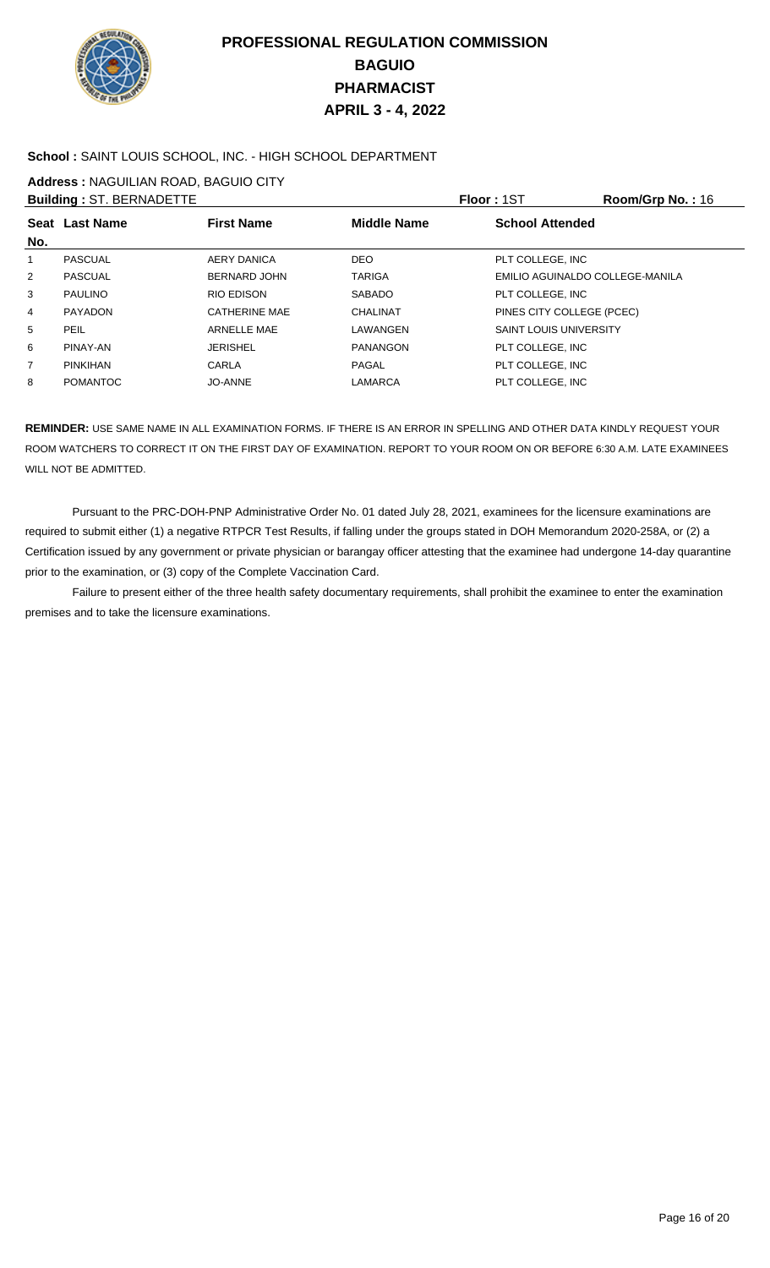

### **School :** SAINT LOUIS SCHOOL, INC. - HIGH SCHOOL DEPARTMENT

**Address :** NAGUILIAN ROAD, BAGUIO CITY

|                | <b>Building: ST. BERNADETTE</b> |                      |                    | Floor: 1ST                      | Room/Grp No.: 16 |
|----------------|---------------------------------|----------------------|--------------------|---------------------------------|------------------|
|                | Seat Last Name                  | <b>First Name</b>    | <b>Middle Name</b> | <b>School Attended</b>          |                  |
| No.            |                                 |                      |                    |                                 |                  |
| 1              | PASCUAL                         | AERY DANICA          | <b>DEO</b>         | PLT COLLEGE, INC                |                  |
| $\overline{2}$ | <b>PASCUAL</b>                  | <b>BERNARD JOHN</b>  | <b>TARIGA</b>      | EMILIO AGUINALDO COLLEGE-MANILA |                  |
| 3              | <b>PAULINO</b>                  | RIO EDISON           | <b>SABADO</b>      | PLT COLLEGE. INC                |                  |
| $\overline{4}$ | <b>PAYADON</b>                  | <b>CATHERINE MAE</b> | CHALINAT           | PINES CITY COLLEGE (PCEC)       |                  |
| 5              | <b>PEIL</b>                     | ARNELLE MAE          | LAWANGEN           | <b>SAINT LOUIS UNIVERSITY</b>   |                  |
| 6              | PINAY-AN                        | <b>JERISHEL</b>      | <b>PANANGON</b>    | PLT COLLEGE. INC                |                  |
| $\overline{7}$ | <b>PINKIHAN</b>                 | CARLA                | PAGAL              | PLT COLLEGE, INC                |                  |
| 8              | <b>POMANTOC</b>                 | JO-ANNE              | LAMARCA            | PLT COLLEGE. INC                |                  |

**REMINDER:** USE SAME NAME IN ALL EXAMINATION FORMS. IF THERE IS AN ERROR IN SPELLING AND OTHER DATA KINDLY REQUEST YOUR ROOM WATCHERS TO CORRECT IT ON THE FIRST DAY OF EXAMINATION. REPORT TO YOUR ROOM ON OR BEFORE 6:30 A.M. LATE EXAMINEES WILL NOT BE ADMITTED.

 Pursuant to the PRC-DOH-PNP Administrative Order No. 01 dated July 28, 2021, examinees for the licensure examinations are required to submit either (1) a negative RTPCR Test Results, if falling under the groups stated in DOH Memorandum 2020-258A, or (2) a Certification issued by any government or private physician or barangay officer attesting that the examinee had undergone 14-day quarantine prior to the examination, or (3) copy of the Complete Vaccination Card.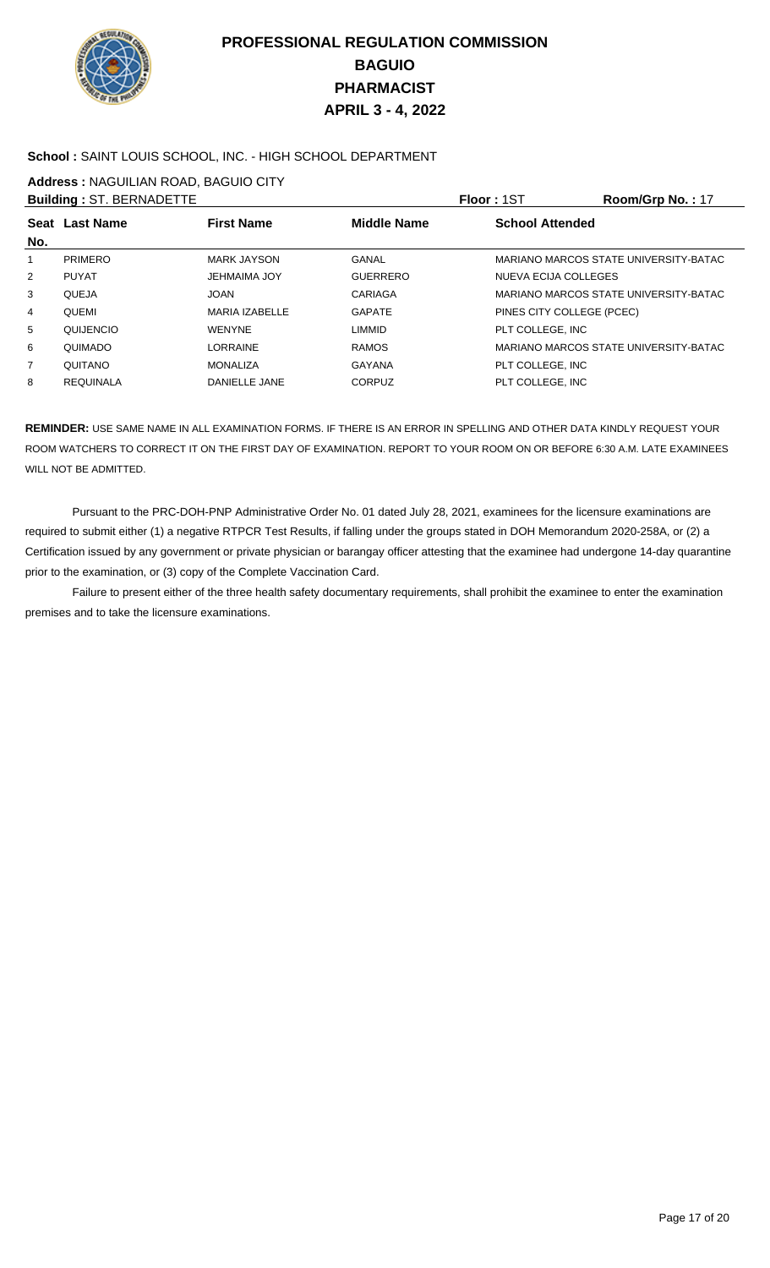

### **School :** SAINT LOUIS SCHOOL, INC. - HIGH SCHOOL DEPARTMENT

**Address :** NAGUILIAN ROAD, BAGUIO CITY

|                | <b>Building: ST. BERNADETTE</b> |                     | <b>Floor: 1ST</b> |                           | Room/Grp No.: 17                      |
|----------------|---------------------------------|---------------------|-------------------|---------------------------|---------------------------------------|
| No.            | Seat Last Name                  | <b>First Name</b>   | Middle Name       | <b>School Attended</b>    |                                       |
|                | <b>PRIMERO</b>                  | MARK JAYSON         | GANAL             |                           | MARIANO MARCOS STATE UNIVERSITY-BATAC |
| 2              | <b>PUYAT</b>                    | <b>JEHMAIMA JOY</b> | <b>GUERRERO</b>   | NUEVA ECIJA COLLEGES      |                                       |
| 3              | QUEJA                           | JOAN                | CARIAGA           |                           | MARIANO MARCOS STATE UNIVERSITY-BATAC |
| 4              | QUEMI                           | MARIA IZABELLE      | <b>GAPATE</b>     | PINES CITY COLLEGE (PCEC) |                                       |
| 5              | QUIJENCIO                       | <b>WENYNE</b>       | <b>LIMMID</b>     | PLT COLLEGE. INC          |                                       |
| 6              | QUIMADO                         | LORRAINE            | <b>RAMOS</b>      |                           | MARIANO MARCOS STATE UNIVERSITY-BATAC |
| $\overline{7}$ | QUITANO                         | <b>MONALIZA</b>     | GAYANA            | PLT COLLEGE, INC          |                                       |
| 8              | <b>REQUINALA</b>                | DANIELLE JANE       | CORPUZ            | PLT COLLEGE. INC          |                                       |

**REMINDER:** USE SAME NAME IN ALL EXAMINATION FORMS. IF THERE IS AN ERROR IN SPELLING AND OTHER DATA KINDLY REQUEST YOUR ROOM WATCHERS TO CORRECT IT ON THE FIRST DAY OF EXAMINATION. REPORT TO YOUR ROOM ON OR BEFORE 6:30 A.M. LATE EXAMINEES WILL NOT BE ADMITTED.

 Pursuant to the PRC-DOH-PNP Administrative Order No. 01 dated July 28, 2021, examinees for the licensure examinations are required to submit either (1) a negative RTPCR Test Results, if falling under the groups stated in DOH Memorandum 2020-258A, or (2) a Certification issued by any government or private physician or barangay officer attesting that the examinee had undergone 14-day quarantine prior to the examination, or (3) copy of the Complete Vaccination Card.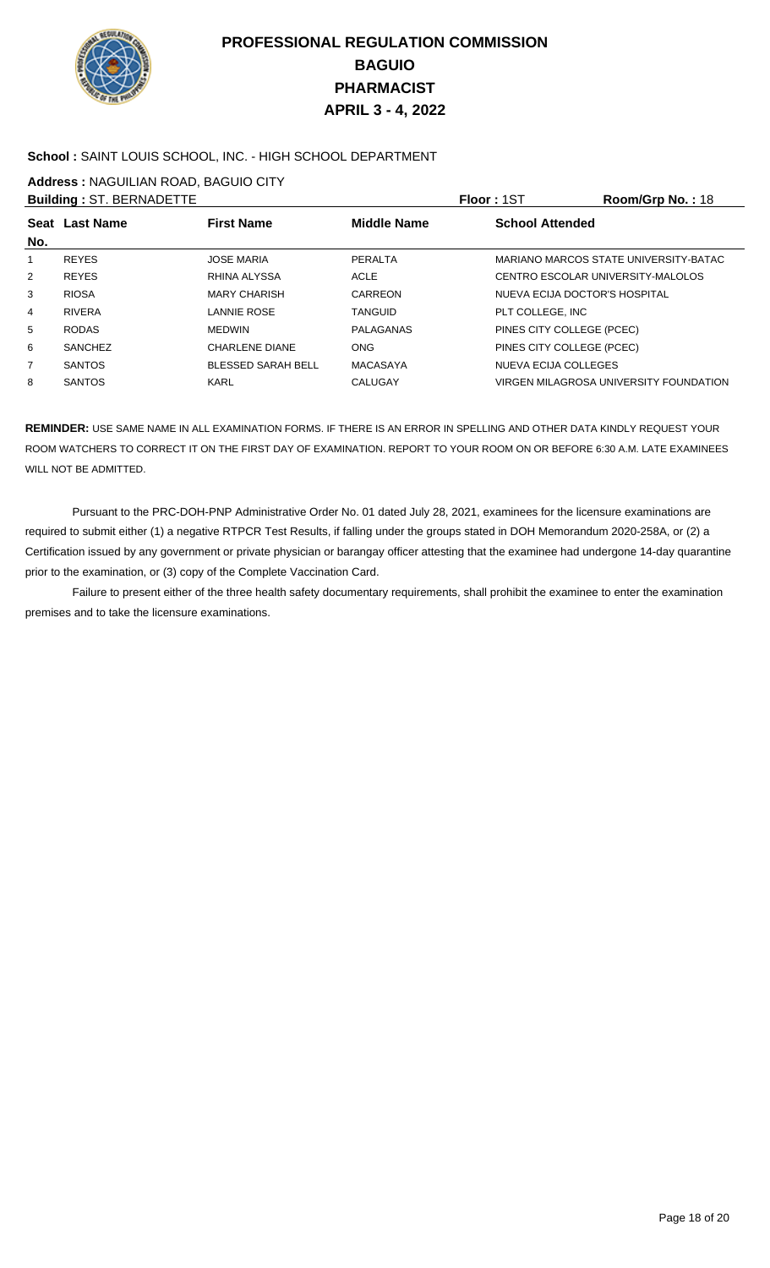

### **School :** SAINT LOUIS SCHOOL, INC. - HIGH SCHOOL DEPARTMENT

**Address :** NAGUILIAN ROAD, BAGUIO CITY

|                | <b>Building: ST. BERNADETTE</b> |                           |                    | Floor: 1ST                        | Room/Grp No.: 18                       |
|----------------|---------------------------------|---------------------------|--------------------|-----------------------------------|----------------------------------------|
| No.            | Seat Last Name                  | <b>First Name</b>         | <b>Middle Name</b> | <b>School Attended</b>            |                                        |
|                | <b>REYES</b>                    | <b>JOSE MARIA</b>         | PERALTA            |                                   | MARIANO MARCOS STATE UNIVERSITY-BATAC  |
| $\overline{2}$ | <b>REYES</b>                    | RHINA ALYSSA              | <b>ACLE</b>        | CENTRO ESCOLAR UNIVERSITY-MALOLOS |                                        |
| 3              | <b>RIOSA</b>                    | <b>MARY CHARISH</b>       | <b>CARREON</b>     | NUEVA ECIJA DOCTOR'S HOSPITAL     |                                        |
| 4              | <b>RIVERA</b>                   | LANNIE ROSE               | <b>TANGUID</b>     | PLT COLLEGE. INC                  |                                        |
| 5              | <b>RODAS</b>                    | <b>MEDWIN</b>             | PALAGANAS          | PINES CITY COLLEGE (PCEC)         |                                        |
| 6              | <b>SANCHEZ</b>                  | <b>CHARLENE DIANE</b>     | <b>ONG</b>         | PINES CITY COLLEGE (PCEC)         |                                        |
| $\overline{7}$ | <b>SANTOS</b>                   | <b>BLESSED SARAH BELL</b> | <b>MACASAYA</b>    | <b>NUEVA ECIJA COLLEGES</b>       |                                        |
| 8              | <b>SANTOS</b>                   | <b>KARL</b>               | <b>CALUGAY</b>     |                                   | VIRGEN MILAGROSA UNIVERSITY FOUNDATION |

**REMINDER:** USE SAME NAME IN ALL EXAMINATION FORMS. IF THERE IS AN ERROR IN SPELLING AND OTHER DATA KINDLY REQUEST YOUR ROOM WATCHERS TO CORRECT IT ON THE FIRST DAY OF EXAMINATION. REPORT TO YOUR ROOM ON OR BEFORE 6:30 A.M. LATE EXAMINEES WILL NOT BE ADMITTED.

 Pursuant to the PRC-DOH-PNP Administrative Order No. 01 dated July 28, 2021, examinees for the licensure examinations are required to submit either (1) a negative RTPCR Test Results, if falling under the groups stated in DOH Memorandum 2020-258A, or (2) a Certification issued by any government or private physician or barangay officer attesting that the examinee had undergone 14-day quarantine prior to the examination, or (3) copy of the Complete Vaccination Card.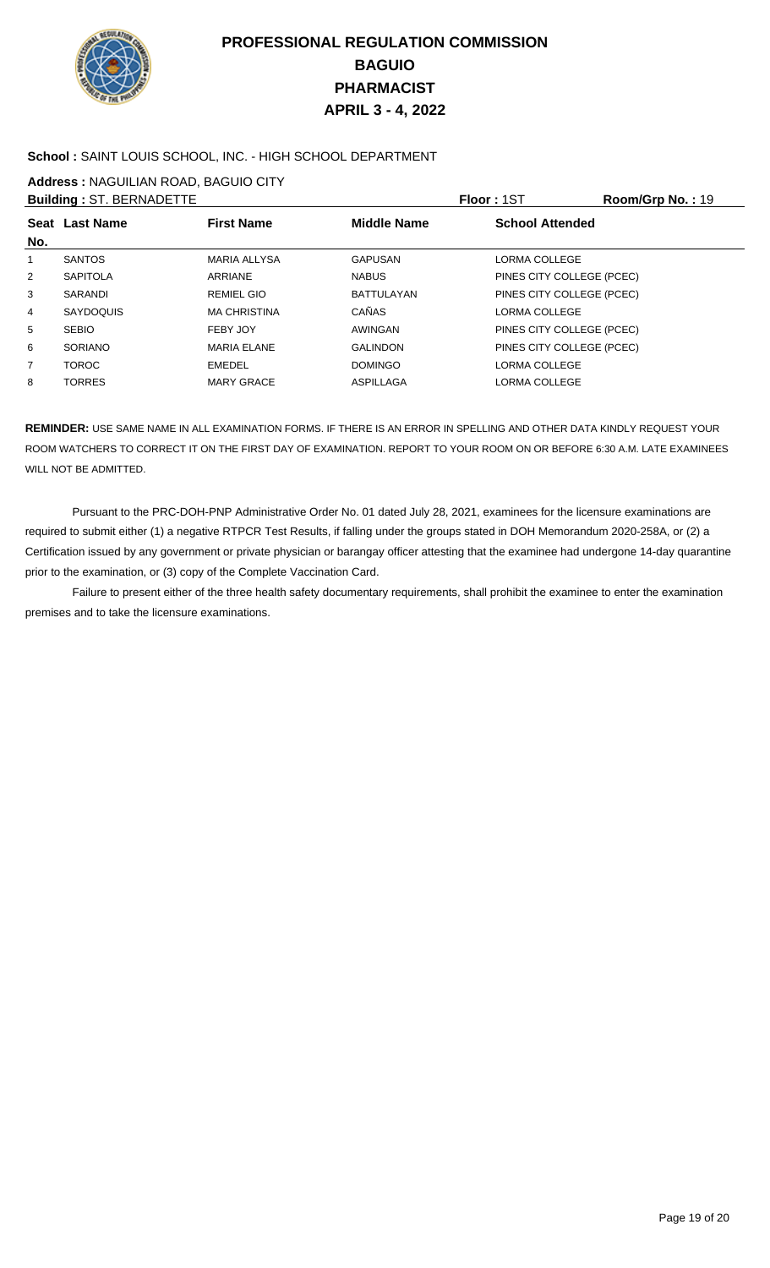

### **School :** SAINT LOUIS SCHOOL, INC. - HIGH SCHOOL DEPARTMENT

**Address :** NAGUILIAN ROAD, BAGUIO CITY

|                | <b>Building: ST. BERNADETTE</b> |                     |                    | <b>Floor: 1ST</b>         | Room/Grp No.: 19 |
|----------------|---------------------------------|---------------------|--------------------|---------------------------|------------------|
| No.            | Seat Last Name                  | <b>First Name</b>   | <b>Middle Name</b> | <b>School Attended</b>    |                  |
| 1              | <b>SANTOS</b>                   | <b>MARIA ALLYSA</b> | <b>GAPUSAN</b>     | LORMA COLLEGE             |                  |
| 2              | <b>SAPITOLA</b>                 | ARRIANE             | <b>NABUS</b>       | PINES CITY COLLEGE (PCEC) |                  |
| 3              | <b>SARANDI</b>                  | <b>REMIEL GIO</b>   | <b>BATTULAYAN</b>  | PINES CITY COLLEGE (PCEC) |                  |
| 4              | <b>SAYDOQUIS</b>                | <b>MA CHRISTINA</b> | <b>CAÑAS</b>       | <b>LORMA COLLEGE</b>      |                  |
| 5              | <b>SEBIO</b>                    | FEBY JOY            | AWINGAN            | PINES CITY COLLEGE (PCEC) |                  |
| 6              | <b>SORIANO</b>                  | <b>MARIA ELANE</b>  | <b>GALINDON</b>    | PINES CITY COLLEGE (PCEC) |                  |
| $\overline{7}$ | <b>TOROC</b>                    | EMEDEL              | <b>DOMINGO</b>     | LORMA COLLEGE             |                  |
| 8              | <b>TORRES</b>                   | <b>MARY GRACE</b>   | ASPILLAGA          | LORMA COLLEGE             |                  |

**REMINDER:** USE SAME NAME IN ALL EXAMINATION FORMS. IF THERE IS AN ERROR IN SPELLING AND OTHER DATA KINDLY REQUEST YOUR ROOM WATCHERS TO CORRECT IT ON THE FIRST DAY OF EXAMINATION. REPORT TO YOUR ROOM ON OR BEFORE 6:30 A.M. LATE EXAMINEES WILL NOT BE ADMITTED.

 Pursuant to the PRC-DOH-PNP Administrative Order No. 01 dated July 28, 2021, examinees for the licensure examinations are required to submit either (1) a negative RTPCR Test Results, if falling under the groups stated in DOH Memorandum 2020-258A, or (2) a Certification issued by any government or private physician or barangay officer attesting that the examinee had undergone 14-day quarantine prior to the examination, or (3) copy of the Complete Vaccination Card.